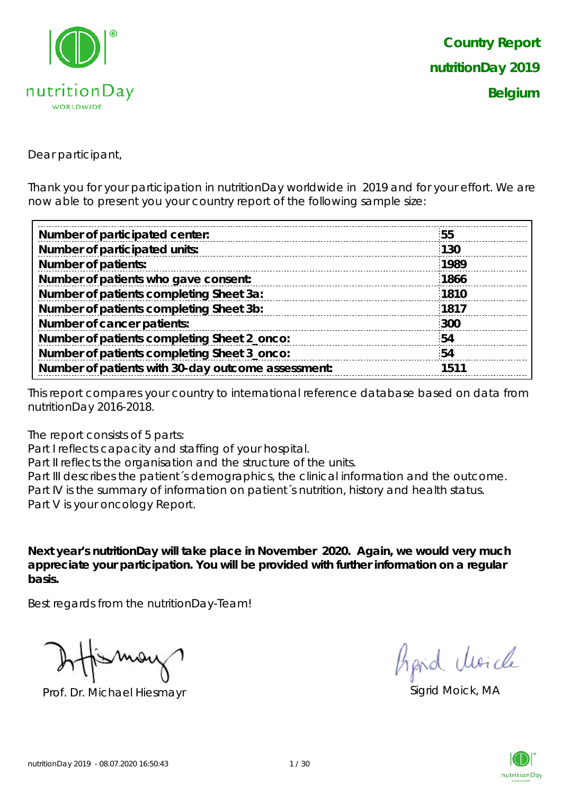

Dear participant,

Thank you for your participation in nutritionDay worldwide in 2019 and for your effort. We are now able to present you your country report of the following sample size:

| 55   |
|------|
| 130  |
| 1989 |
| 1866 |
| 1810 |
| 1817 |
| 300  |
| 54   |
| 54   |
| 1511 |
|      |

This report compares your country to international reference database based on data from nutritionDay 2016-2018.

The report consists of 5 parts:

Part I reflects capacity and staffing of your hospital.

Part II reflects the organisation and the structure of the units.

Part III describes the patient's demographics, the clinical information and the outcome. Part IV is the summary of information on patient´s nutrition, history and health status. Part V is your oncology Report.

**Next year's nutritionDay will take place in November 2020. Again, we would very much appreciate your participation. You will be provided with further information on a regular basis.**

Best regards from the nutritionDay-Team!

Prof. Dr. Michael Hiesmayr Sigrid Moick, MA

fipid Moich

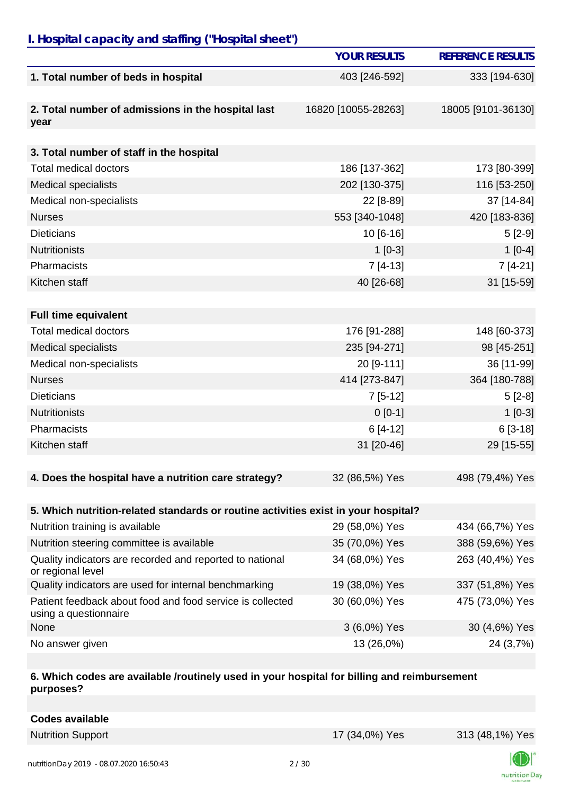### *I. Hospital capacity and staffing ("Hospital sheet")*

|                                                                                    | <b>YOUR RESULTS</b> | <b>REFERENCE RESULTS</b> |
|------------------------------------------------------------------------------------|---------------------|--------------------------|
| 1. Total number of beds in hospital                                                | 403 [246-592]       | 333 [194-630]            |
| 2. Total number of admissions in the hospital last<br>year                         | 16820 [10055-28263] | 18005 [9101-36130]       |
|                                                                                    |                     |                          |
| 3. Total number of staff in the hospital                                           |                     |                          |
| <b>Total medical doctors</b>                                                       | 186 [137-362]       | 173 [80-399]             |
| <b>Medical specialists</b>                                                         | 202 [130-375]       | 116 [53-250]             |
| Medical non-specialists                                                            | 22 [8-89]           | 37 [14-84]               |
| <b>Nurses</b>                                                                      | 553 [340-1048]      | 420 [183-836]            |
| <b>Dieticians</b>                                                                  | $10[6-16]$          | $5[2-9]$                 |
| <b>Nutritionists</b>                                                               | $1[0-3]$            | $1[0-4]$                 |
| Pharmacists                                                                        | $7[4-13]$           | $7[4-21]$                |
| Kitchen staff                                                                      | 40 [26-68]          | 31 [15-59]               |
|                                                                                    |                     |                          |
| <b>Full time equivalent</b>                                                        |                     |                          |
| <b>Total medical doctors</b>                                                       | 176 [91-288]        | 148 [60-373]             |
| <b>Medical specialists</b>                                                         | 235 [94-271]        | 98 [45-251]              |
| Medical non-specialists                                                            | 20 [9-111]          | 36 [11-99]               |
| <b>Nurses</b>                                                                      | 414 [273-847]       | 364 [180-788]            |
| <b>Dieticians</b>                                                                  | $7[5-12]$           | $5[2-8]$                 |
| <b>Nutritionists</b>                                                               | $0[0-1]$            | $1[0-3]$                 |
| Pharmacists                                                                        | $6[4-12]$           | $6[3-18]$                |
| Kitchen staff                                                                      | 31 [20-46]          | 29 [15-55]               |
|                                                                                    |                     |                          |
| 4. Does the hospital have a nutrition care strategy?                               | 32 (86,5%) Yes      | 498 (79,4%) Yes          |
| 5. Which nutrition-related standards or routine activities exist in your hospital? |                     |                          |
| Nutrition training is available                                                    | 29 (58,0%) Yes      | 434 (66,7%) Yes          |
| Nutrition steering committee is available                                          | 35 (70,0%) Yes      | 388 (59,6%) Yes          |
| Quality indicators are recorded and reported to national<br>or regional level      | 34 (68,0%) Yes      | 263 (40,4%) Yes          |
| Quality indicators are used for internal benchmarking                              | 19 (38,0%) Yes      | 337 (51,8%) Yes          |
| Patient feedback about food and food service is collected<br>using a questionnaire | 30 (60,0%) Yes      | 475 (73,0%) Yes          |
| None                                                                               | 3 (6,0%) Yes        | 30 (4,6%) Yes            |
| No answer given                                                                    | 13 (26,0%)          | 24 (3,7%)                |

#### **6. Which codes are available /routinely used in your hospital for billing and reimbursement purposes?**

| <b>Codes available</b> |  |
|------------------------|--|
|                        |  |

Nutrition Support 17 (34,0%) Yes 313 (48,1%) Yes

nutritionDay

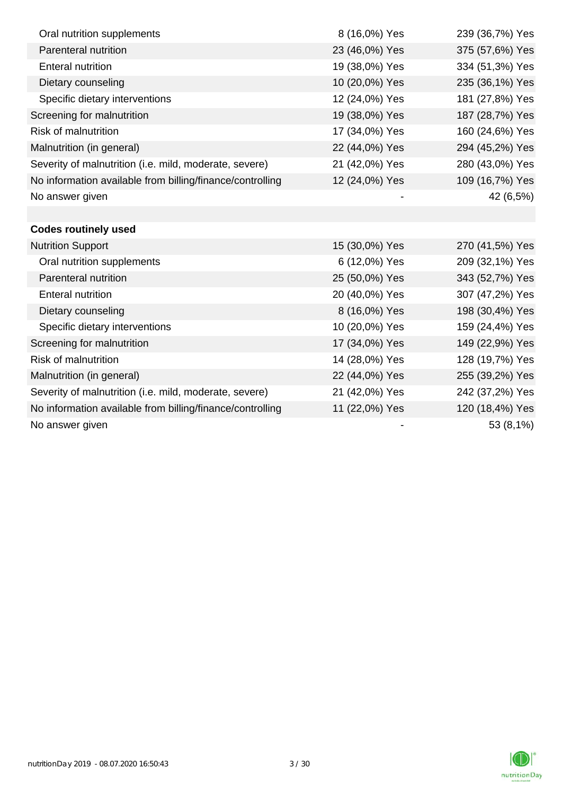| Oral nutrition supplements                                | 8 (16,0%) Yes  | 239 (36,7%) Yes |
|-----------------------------------------------------------|----------------|-----------------|
| Parenteral nutrition                                      | 23 (46,0%) Yes | 375 (57,6%) Yes |
| <b>Enteral nutrition</b>                                  | 19 (38,0%) Yes | 334 (51,3%) Yes |
| Dietary counseling                                        | 10 (20,0%) Yes | 235 (36,1%) Yes |
| Specific dietary interventions                            | 12 (24,0%) Yes | 181 (27,8%) Yes |
| Screening for malnutrition                                | 19 (38,0%) Yes | 187 (28,7%) Yes |
| <b>Risk of malnutrition</b>                               | 17 (34,0%) Yes | 160 (24,6%) Yes |
| Malnutrition (in general)                                 | 22 (44,0%) Yes | 294 (45,2%) Yes |
| Severity of malnutrition (i.e. mild, moderate, severe)    | 21 (42,0%) Yes | 280 (43,0%) Yes |
| No information available from billing/finance/controlling | 12 (24,0%) Yes | 109 (16,7%) Yes |
| No answer given                                           |                | 42 (6,5%)       |
|                                                           |                |                 |
| <b>Codes routinely used</b>                               |                |                 |
| <b>Nutrition Support</b>                                  | 15 (30,0%) Yes | 270 (41,5%) Yes |
| Oral nutrition supplements                                | 6 (12,0%) Yes  | 209 (32,1%) Yes |
| Parenteral nutrition                                      | 25 (50,0%) Yes | 343 (52,7%) Yes |
| <b>Enteral nutrition</b>                                  | 20 (40,0%) Yes | 307 (47,2%) Yes |
| Dietary counseling                                        | 8 (16,0%) Yes  | 198 (30,4%) Yes |
| Specific dietary interventions                            | 10 (20,0%) Yes | 159 (24,4%) Yes |
| Screening for malnutrition                                | 17 (34,0%) Yes | 149 (22,9%) Yes |
| <b>Risk of malnutrition</b>                               | 14 (28,0%) Yes | 128 (19,7%) Yes |
| Malnutrition (in general)                                 | 22 (44,0%) Yes | 255 (39,2%) Yes |
| Severity of malnutrition (i.e. mild, moderate, severe)    | 21 (42,0%) Yes | 242 (37,2%) Yes |
| No information available from billing/finance/controlling | 11 (22,0%) Yes | 120 (18,4%) Yes |
| No answer given                                           |                | 53 (8,1%)       |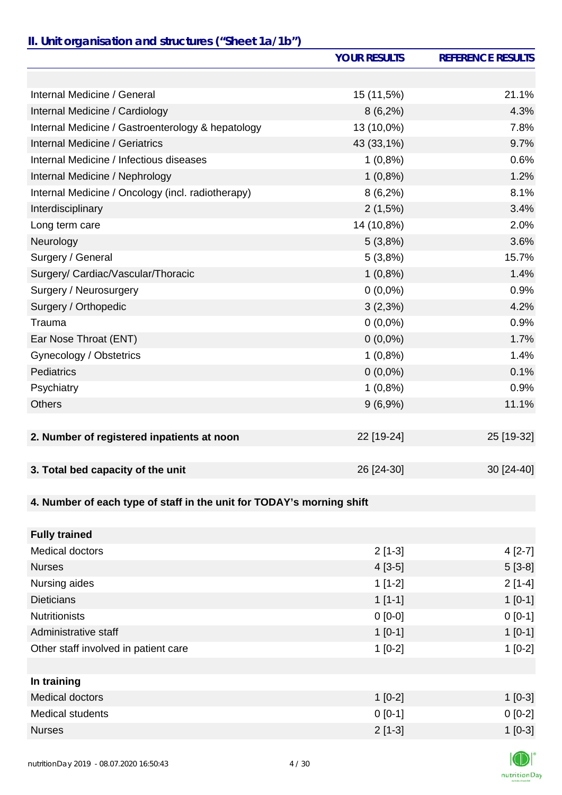## *II. Unit organisation and structures ("Sheet 1a/1b")*

|                                                                       | <b>YOUR RESULTS</b> | <b>REFERENCE RESULTS</b> |
|-----------------------------------------------------------------------|---------------------|--------------------------|
|                                                                       |                     |                          |
| Internal Medicine / General                                           | 15 (11,5%)          | 21.1%                    |
| Internal Medicine / Cardiology                                        | $8(6,2\%)$          | 4.3%                     |
| Internal Medicine / Gastroenterology & hepatology                     | 13 (10,0%)          | 7.8%                     |
| Internal Medicine / Geriatrics                                        | 43 (33,1%)          | 9.7%                     |
| Internal Medicine / Infectious diseases                               | $1(0,8\%)$          | 0.6%                     |
| Internal Medicine / Nephrology                                        | $1(0,8\%)$          | 1.2%                     |
| Internal Medicine / Oncology (incl. radiotherapy)                     | $8(6,2\%)$          | 8.1%                     |
| Interdisciplinary                                                     | 2(1,5%)             | 3.4%                     |
| Long term care                                                        | 14 (10,8%)          | 2.0%                     |
| Neurology                                                             | 5(3,8%)             | 3.6%                     |
| Surgery / General                                                     | 5(3,8%)             | 15.7%                    |
| Surgery/ Cardiac/Vascular/Thoracic                                    | $1(0,8\%)$          | 1.4%                     |
| Surgery / Neurosurgery                                                | $0(0,0\%)$          | 0.9%                     |
| Surgery / Orthopedic                                                  | 3(2,3%)             | 4.2%                     |
| Trauma                                                                | $0(0,0\%)$          | 0.9%                     |
| Ear Nose Throat (ENT)                                                 | $0(0,0\%)$          | 1.7%                     |
| Gynecology / Obstetrics                                               | $1(0,8\%)$          | 1.4%                     |
| <b>Pediatrics</b>                                                     | $0(0,0\%)$          | 0.1%                     |
| Psychiatry                                                            | $1(0,8\%)$          | 0.9%                     |
| <b>Others</b>                                                         | $9(6,9\%)$          | 11.1%                    |
|                                                                       |                     |                          |
| 2. Number of registered inpatients at noon                            | 22 [19-24]          | 25 [19-32]               |
|                                                                       |                     |                          |
| 3. Total bed capacity of the unit                                     | 26 [24-30]          | 30 [24-40]               |
| 4. Number of each type of staff in the unit for TODAY's morning shift |                     |                          |
|                                                                       |                     |                          |
| <b>Fully trained</b>                                                  |                     |                          |
| Medical doctors                                                       | $2[1-3]$            | $4[2-7]$                 |
| <b>Nurses</b>                                                         | $4[3-5]$            | $5[3-8]$                 |
| Nursing aides                                                         | $1[1-2]$            | $2[1-4]$                 |
| <b>Dieticians</b>                                                     | $1[1-1]$            | $1[0-1]$                 |
| <b>Nutritionists</b>                                                  | $0[0-0]$            | $0[0-1]$                 |
| Administrative staff                                                  | $1[0-1]$            | $1[0-1]$                 |
| Other staff involved in patient care                                  | $1[0-2]$            | $1[0-2]$                 |
|                                                                       |                     |                          |
| In training                                                           |                     |                          |
| Medical doctors                                                       | $1[0-2]$            | $1[0-3]$                 |
| Medical students                                                      | $0 [0-1]$           | $0[0-2]$                 |

Nurses 2 [1-3] 2 [1-3] 2 [1-3] 2 [1-3] 2 [1-3] 2 [1-3] 2 [1-3] 2 [1-3] 2 [1-3] 2 [1-3] 2 [1-3] 2 [1-3] 2 [1-3]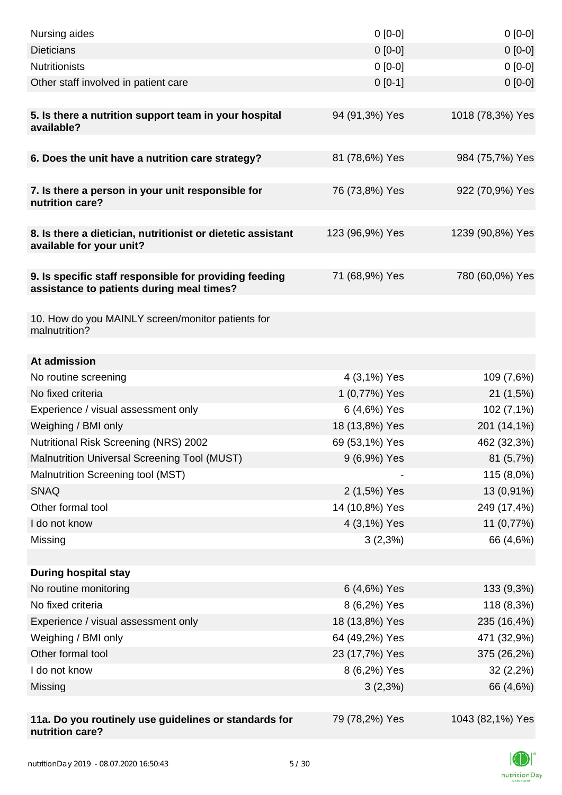| Nursing aides                                                                                       | $0 [0-0]$                      | $0[0-0]$         |
|-----------------------------------------------------------------------------------------------------|--------------------------------|------------------|
| <b>Dieticians</b>                                                                                   | $0 [0-0]$                      | $0[0-0]$         |
| <b>Nutritionists</b>                                                                                | $0 [0-0]$                      | $0[0-0]$         |
| Other staff involved in patient care                                                                | $0[0-1]$                       | $0[0-0]$         |
| 5. Is there a nutrition support team in your hospital<br>available?                                 | 94 (91,3%) Yes                 | 1018 (78,3%) Yes |
| 6. Does the unit have a nutrition care strategy?                                                    | 81 (78,6%) Yes                 | 984 (75,7%) Yes  |
|                                                                                                     |                                |                  |
| 7. Is there a person in your unit responsible for<br>nutrition care?                                | 76 (73,8%) Yes                 | 922 (70,9%) Yes  |
| 8. Is there a dietician, nutritionist or dietetic assistant<br>available for your unit?             | 123 (96,9%) Yes                | 1239 (90,8%) Yes |
| 9. Is specific staff responsible for providing feeding<br>assistance to patients during meal times? | 71 (68,9%) Yes                 | 780 (60,0%) Yes  |
| 10. How do you MAINLY screen/monitor patients for<br>malnutrition?                                  |                                |                  |
|                                                                                                     |                                |                  |
| At admission                                                                                        |                                |                  |
| No routine screening                                                                                | 4 (3,1%) Yes                   | 109 (7,6%)       |
| No fixed criteria                                                                                   | 1 (0,77%) Yes                  | 21(1,5%)         |
| Experience / visual assessment only                                                                 | 6 (4,6%) Yes<br>18 (13,8%) Yes | 102 (7,1%)       |
| Weighing / BMI only                                                                                 |                                | 201 (14,1%)      |
| Nutritional Risk Screening (NRS) 2002                                                               | 69 (53,1%) Yes                 | 462 (32,3%)      |
| Malnutrition Universal Screening Tool (MUST)                                                        | 9 (6,9%) Yes                   | 81 (5,7%)        |
| Malnutrition Screening tool (MST)<br><b>SNAQ</b>                                                    |                                | 115 (8,0%)       |
| Other formal tool                                                                                   | 2 (1,5%) Yes                   | 13 (0,91%)       |
|                                                                                                     | 14 (10,8%) Yes                 | 249 (17,4%)      |
| I do not know                                                                                       | 4 (3,1%) Yes                   | 11 (0,77%)       |
| Missing                                                                                             | $3(2,3\%)$                     | 66 (4,6%)        |
| <b>During hospital stay</b>                                                                         |                                |                  |
| No routine monitoring                                                                               | 6 (4,6%) Yes                   | 133 (9,3%)       |
| No fixed criteria                                                                                   | 8 (6,2%) Yes                   | 118 (8,3%)       |
| Experience / visual assessment only                                                                 | 18 (13,8%) Yes                 | 235 (16,4%)      |
| Weighing / BMI only                                                                                 | 64 (49,2%) Yes                 | 471 (32,9%)      |
| Other formal tool                                                                                   | 23 (17,7%) Yes                 | 375 (26,2%)      |
| I do not know                                                                                       | 8 (6,2%) Yes                   | $32(2,2\%)$      |
| Missing                                                                                             | $3(2,3\%)$                     | 66 (4,6%)        |
|                                                                                                     |                                |                  |
| 11a. Do you routinely use guidelines or standards for<br>nutrition care?                            | 79 (78,2%) Yes                 | 1043 (82,1%) Yes |

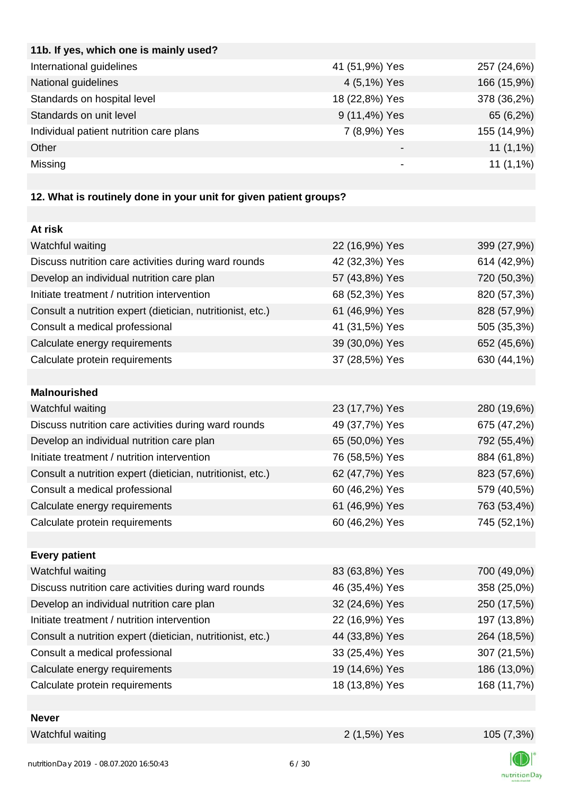| 11b. If yes, which one is mainly used?  |                |             |
|-----------------------------------------|----------------|-------------|
| International guidelines                | 41 (51,9%) Yes | 257 (24,6%) |
| National guidelines                     | 4 (5,1%) Yes   | 166 (15,9%) |
| Standards on hospital level             | 18 (22,8%) Yes | 378 (36,2%) |
| Standards on unit level                 | 9 (11,4%) Yes  | 65 (6,2%)   |
| Individual patient nutrition care plans | 7 (8,9%) Yes   | 155 (14,9%) |
| Other                                   |                | $11(1,1\%)$ |
| Missing                                 | -              | $11(1,1\%)$ |
|                                         |                |             |

# **12. What is routinely done in your unit for given patient groups?**

| At risk                                                    |                |             |
|------------------------------------------------------------|----------------|-------------|
| Watchful waiting                                           | 22 (16,9%) Yes | 399 (27,9%) |
| Discuss nutrition care activities during ward rounds       | 42 (32,3%) Yes | 614 (42,9%) |
| Develop an individual nutrition care plan                  | 57 (43,8%) Yes | 720 (50,3%) |
| Initiate treatment / nutrition intervention                | 68 (52,3%) Yes | 820 (57,3%) |
| Consult a nutrition expert (dietician, nutritionist, etc.) | 61 (46,9%) Yes | 828 (57,9%) |
| Consult a medical professional                             | 41 (31,5%) Yes | 505 (35,3%) |
| Calculate energy requirements                              | 39 (30,0%) Yes | 652 (45,6%) |
| Calculate protein requirements                             | 37 (28,5%) Yes | 630 (44,1%) |
|                                                            |                |             |
| <b>Malnourished</b>                                        |                |             |
| Watchful waiting                                           | 23 (17,7%) Yes | 280 (19,6%) |
| Discuss nutrition care activities during ward rounds       | 49 (37,7%) Yes | 675 (47,2%) |
| Develop an individual nutrition care plan                  | 65 (50,0%) Yes | 792 (55,4%) |
| Initiate treatment / nutrition intervention                | 76 (58,5%) Yes | 884 (61,8%) |
| Consult a nutrition expert (dietician, nutritionist, etc.) | 62 (47,7%) Yes | 823 (57,6%) |
| Consult a medical professional                             | 60 (46,2%) Yes | 579 (40,5%) |
| Calculate energy requirements                              | 61 (46,9%) Yes | 763 (53,4%) |
| Calculate protein requirements                             | 60 (46,2%) Yes | 745 (52,1%) |
|                                                            |                |             |
| <b>Every patient</b>                                       |                |             |
| Watchful waiting                                           | 83 (63,8%) Yes | 700 (49,0%) |
| Discuss nutrition care activities during ward rounds       | 46 (35,4%) Yes | 358 (25,0%) |
| Develop an individual nutrition care plan                  | 32 (24,6%) Yes | 250 (17,5%) |
| Initiate treatment / nutrition intervention                | 22 (16,9%) Yes | 197 (13,8%) |
| Consult a nutrition expert (dietician, nutritionist, etc.) | 44 (33,8%) Yes | 264 (18,5%) |
| Consult a medical professional                             | 33 (25,4%) Yes | 307 (21,5%) |
| Calculate energy requirements                              | 19 (14,6%) Yes | 186 (13,0%) |
| Calculate protein requirements                             | 18 (13,8%) Yes | 168 (11,7%) |
|                                                            |                |             |
| <b>Never</b>                                               |                |             |
| Watchful waiting                                           | 2 (1,5%) Yes   | 105 (7,3%)  |

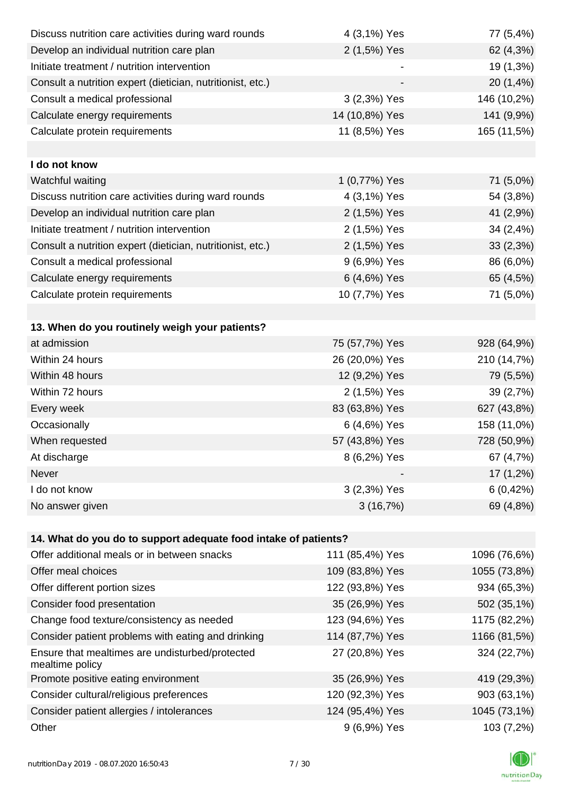| Discuss nutrition care activities during ward rounds               | 4 (3,1%) Yes    | 77 (5,4%)    |
|--------------------------------------------------------------------|-----------------|--------------|
| Develop an individual nutrition care plan                          | 2 (1,5%) Yes    | 62 (4,3%)    |
| Initiate treatment / nutrition intervention                        |                 | 19 (1,3%)    |
| Consult a nutrition expert (dietician, nutritionist, etc.)         |                 | 20 (1,4%)    |
| Consult a medical professional                                     | 3 (2,3%) Yes    | 146 (10,2%)  |
| Calculate energy requirements                                      | 14 (10,8%) Yes  | 141 (9,9%)   |
| Calculate protein requirements                                     | 11 (8,5%) Yes   | 165 (11,5%)  |
|                                                                    |                 |              |
| I do not know                                                      |                 |              |
| Watchful waiting                                                   | 1 (0,77%) Yes   | 71 (5,0%)    |
| Discuss nutrition care activities during ward rounds               | 4 (3,1%) Yes    | 54 (3,8%)    |
| Develop an individual nutrition care plan                          | 2 (1,5%) Yes    | 41 (2,9%)    |
| Initiate treatment / nutrition intervention                        | 2 (1,5%) Yes    | 34 (2,4%)    |
| Consult a nutrition expert (dietician, nutritionist, etc.)         | 2 (1,5%) Yes    | 33(2,3%)     |
| Consult a medical professional                                     | 9 (6,9%) Yes    | 86 (6,0%)    |
| Calculate energy requirements                                      | 6 (4,6%) Yes    | 65 (4,5%)    |
| Calculate protein requirements                                     | 10 (7,7%) Yes   | 71 (5,0%)    |
|                                                                    |                 |              |
| 13. When do you routinely weigh your patients?                     |                 |              |
| at admission                                                       | 75 (57,7%) Yes  | 928 (64,9%)  |
| Within 24 hours                                                    | 26 (20,0%) Yes  | 210 (14,7%)  |
| Within 48 hours                                                    | 12 (9,2%) Yes   | 79 (5,5%)    |
| Within 72 hours                                                    | 2 (1,5%) Yes    | 39 (2,7%)    |
| Every week                                                         | 83 (63,8%) Yes  | 627 (43,8%)  |
| Occasionally                                                       | 6 (4,6%) Yes    | 158 (11,0%)  |
| When requested                                                     | 57 (43,8%) Yes  | 728 (50,9%)  |
| At discharge                                                       | 8 (6,2%) Yes    | 67 (4,7%)    |
| Never                                                              |                 | 17 (1,2%)    |
| I do not know                                                      | 3 (2,3%) Yes    | 6(0,42%)     |
| No answer given                                                    | 3(16,7%)        | 69 (4,8%)    |
|                                                                    |                 |              |
| 14. What do you do to support adequate food intake of patients?    |                 |              |
| Offer additional meals or in between snacks                        | 111 (85,4%) Yes | 1096 (76,6%) |
| Offer meal choices                                                 | 109 (83,8%) Yes | 1055 (73,8%) |
| Offer different portion sizes                                      | 122 (93,8%) Yes | 934 (65,3%)  |
| Consider food presentation                                         | 35 (26,9%) Yes  | 502 (35,1%)  |
| Change food texture/consistency as needed                          | 123 (94,6%) Yes | 1175 (82,2%) |
| Consider patient problems with eating and drinking                 | 114 (87,7%) Yes | 1166 (81,5%) |
| Ensure that mealtimes are undisturbed/protected<br>mealtime policy | 27 (20,8%) Yes  | 324 (22,7%)  |
| Promote positive eating environment                                | 35 (26,9%) Yes  | 419 (29,3%)  |
| Consider cultural/religious preferences                            | 120 (92,3%) Yes | 903 (63,1%)  |
| Consider patient allergies / intolerances                          | 124 (95,4%) Yes | 1045 (73,1%) |
| Other                                                              | 9 (6,9%) Yes    | 103 (7,2%)   |

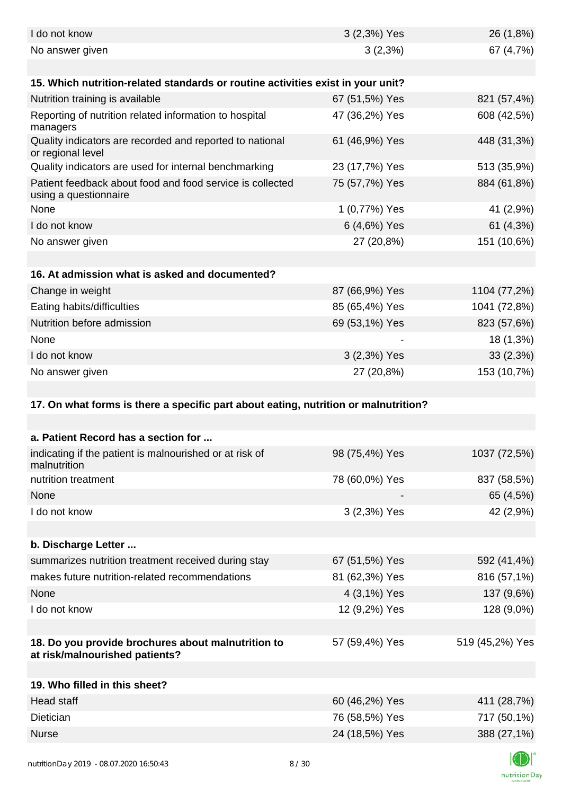| I do not know                                                                        | 3 (2,3%) Yes   | 26 (1,8%)       |
|--------------------------------------------------------------------------------------|----------------|-----------------|
| No answer given                                                                      | 3(2,3%)        | 67 (4,7%)       |
|                                                                                      |                |                 |
| 15. Which nutrition-related standards or routine activities exist in your unit?      |                |                 |
| Nutrition training is available                                                      | 67 (51,5%) Yes | 821 (57,4%)     |
| Reporting of nutrition related information to hospital<br>managers                   | 47 (36,2%) Yes | 608 (42,5%)     |
| Quality indicators are recorded and reported to national<br>or regional level        | 61 (46,9%) Yes | 448 (31,3%)     |
| Quality indicators are used for internal benchmarking                                | 23 (17,7%) Yes | 513 (35,9%)     |
| Patient feedback about food and food service is collected<br>using a questionnaire   | 75 (57,7%) Yes | 884 (61,8%)     |
| None                                                                                 | 1 (0,77%) Yes  | 41 (2,9%)       |
| I do not know                                                                        | 6 (4,6%) Yes   | 61(4,3%)        |
| No answer given                                                                      | 27 (20,8%)     | 151 (10,6%)     |
|                                                                                      |                |                 |
| 16. At admission what is asked and documented?                                       |                |                 |
| Change in weight                                                                     | 87 (66,9%) Yes | 1104 (77,2%)    |
| Eating habits/difficulties                                                           | 85 (65,4%) Yes | 1041 (72,8%)    |
| Nutrition before admission                                                           | 69 (53,1%) Yes | 823 (57,6%)     |
| None                                                                                 |                | 18 (1,3%)       |
| I do not know                                                                        | 3 (2,3%) Yes   | 33(2,3%)        |
| No answer given                                                                      | 27 (20,8%)     | 153 (10,7%)     |
|                                                                                      |                |                 |
| 17. On what forms is there a specific part about eating, nutrition or malnutrition?  |                |                 |
|                                                                                      |                |                 |
|                                                                                      |                |                 |
| a. Patient Record has a section for                                                  |                |                 |
| indicating if the patient is malnourished or at risk of<br>malnutrition              | 98 (75,4%) Yes | 1037 (72,5%)    |
| nutrition treatment                                                                  | 78 (60,0%) Yes | 837 (58,5%)     |
| None                                                                                 |                | 65 (4,5%)       |
| I do not know                                                                        | 3 (2,3%) Yes   | 42 (2,9%)       |
|                                                                                      |                |                 |
| b. Discharge Letter                                                                  |                |                 |
| summarizes nutrition treatment received during stay                                  | 67 (51,5%) Yes | 592 (41,4%)     |
| makes future nutrition-related recommendations                                       | 81 (62,3%) Yes | 816 (57,1%)     |
| None                                                                                 | 4 (3,1%) Yes   | 137 (9,6%)      |
| I do not know                                                                        | 12 (9,2%) Yes  | 128 (9,0%)      |
|                                                                                      |                |                 |
| 18. Do you provide brochures about malnutrition to<br>at risk/malnourished patients? | 57 (59,4%) Yes | 519 (45,2%) Yes |
|                                                                                      |                |                 |
| 19. Who filled in this sheet?                                                        |                |                 |
| Head staff                                                                           | 60 (46,2%) Yes | 411 (28,7%)     |
| Dietician                                                                            | 76 (58,5%) Yes | 717 (50,1%)     |
| <b>Nurse</b>                                                                         | 24 (18,5%) Yes | 388 (27,1%)     |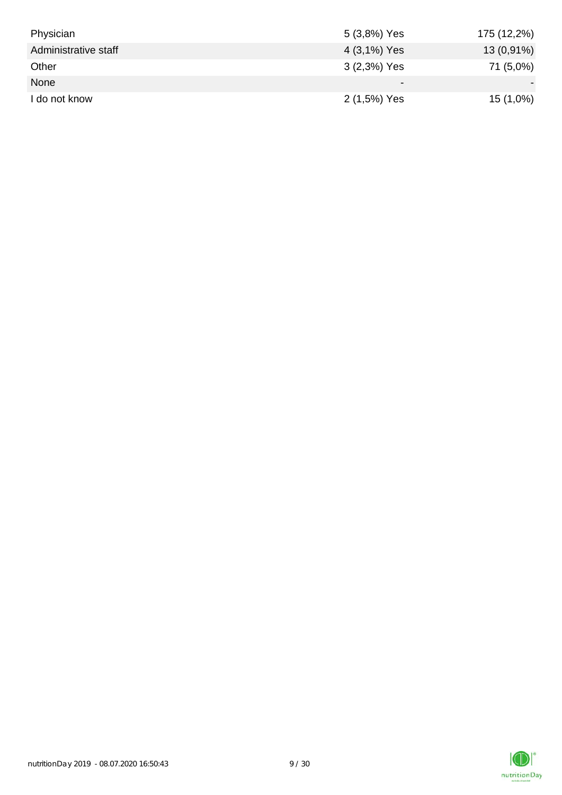| Physician            | 5 (3,8%) Yes | 175 (12,2%) |
|----------------------|--------------|-------------|
| Administrative staff | 4 (3,1%) Yes | 13 (0,91%)  |
| Other                | 3 (2,3%) Yes | 71 (5,0%)   |
| None                 |              |             |
| I do not know        | 2 (1,5%) Yes | $15(1,0\%)$ |

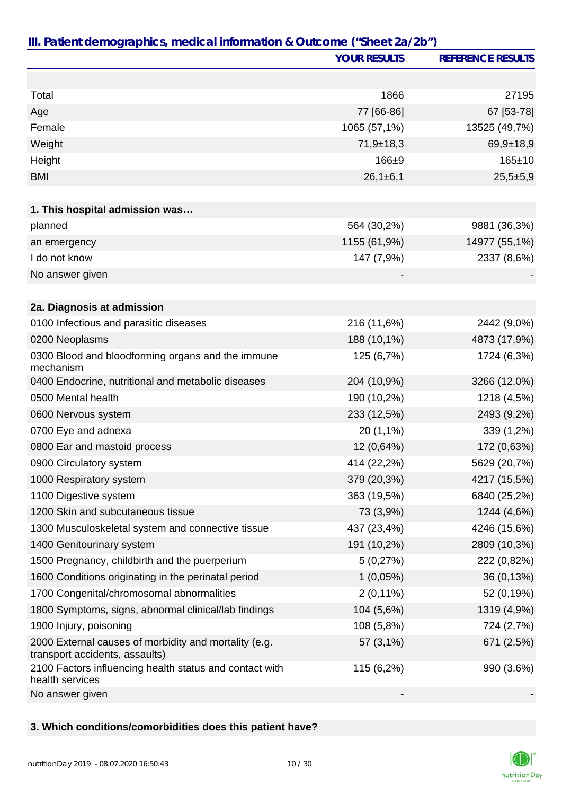|                                                                                         | <b>YOUR RESULTS</b> | <b>REFERENCE RESULTS</b> |
|-----------------------------------------------------------------------------------------|---------------------|--------------------------|
|                                                                                         |                     |                          |
| Total                                                                                   | 1866                | 27195                    |
| Age                                                                                     | 77 [66-86]          | 67 [53-78]               |
| Female                                                                                  | 1065 (57,1%)        | 13525 (49,7%)            |
| Weight                                                                                  | $71,9 \pm 18,3$     | $69,9+18,9$              |
| Height                                                                                  | 166±9               | $165 \pm 10$             |
| <b>BMI</b>                                                                              | $26,1\pm 6,1$       | $25,5+5,9$               |
|                                                                                         |                     |                          |
| 1. This hospital admission was                                                          |                     |                          |
| planned                                                                                 | 564 (30,2%)         | 9881 (36,3%)             |
| an emergency                                                                            | 1155 (61,9%)        | 14977 (55,1%)            |
| I do not know                                                                           | 147 (7,9%)          | 2337 (8,6%)              |
| No answer given                                                                         |                     |                          |
|                                                                                         |                     |                          |
| 2a. Diagnosis at admission                                                              |                     |                          |
| 0100 Infectious and parasitic diseases                                                  | 216 (11,6%)         | 2442 (9,0%)              |
| 0200 Neoplasms                                                                          | 188 (10,1%)         | 4873 (17,9%)             |
| 0300 Blood and bloodforming organs and the immune<br>mechanism                          | 125 (6,7%)          | 1724 (6,3%)              |
| 0400 Endocrine, nutritional and metabolic diseases                                      | 204 (10,9%)         | 3266 (12,0%)             |
| 0500 Mental health                                                                      | 190 (10,2%)         | 1218 (4,5%)              |
| 0600 Nervous system                                                                     | 233 (12,5%)         | 2493 (9,2%)              |
| 0700 Eye and adnexa                                                                     | 20 (1,1%)           | 339 (1,2%)               |
| 0800 Ear and mastoid process                                                            | 12 (0,64%)          | 172 (0,63%)              |
| 0900 Circulatory system                                                                 | 414 (22,2%)         | 5629 (20,7%)             |
| 1000 Respiratory system                                                                 | 379 (20,3%)         | 4217 (15,5%)             |
| 1100 Digestive system                                                                   | 363 (19,5%)         | 6840 (25,2%)             |
| 1200 Skin and subcutaneous tissue                                                       | 73 (3,9%)           | 1244 (4,6%)              |
| 1300 Musculoskeletal system and connective tissue                                       | 437 (23,4%)         | 4246 (15,6%)             |
| 1400 Genitourinary system                                                               | 191 (10,2%)         | 2809 (10,3%)             |
| 1500 Pregnancy, childbirth and the puerperium                                           | 5(0,27%)            | 222 (0,82%)              |
| 1600 Conditions originating in the perinatal period                                     | $1(0,05\%)$         | 36 (0,13%)               |
| 1700 Congenital/chromosomal abnormalities                                               | $2(0,11\%)$         | 52 (0,19%)               |
| 1800 Symptoms, signs, abnormal clinical/lab findings                                    | 104 (5,6%)          | 1319 (4,9%)              |
| 1900 Injury, poisoning                                                                  | 108 (5,8%)          | 724 (2,7%)               |
| 2000 External causes of morbidity and mortality (e.g.<br>transport accidents, assaults) | 57 (3,1%)           | 671 (2,5%)               |
| 2100 Factors influencing health status and contact with<br>health services              | 115 (6,2%)          | 990 (3,6%)               |
| No answer given                                                                         |                     |                          |

### **3. Which conditions/comorbidities does this patient have?**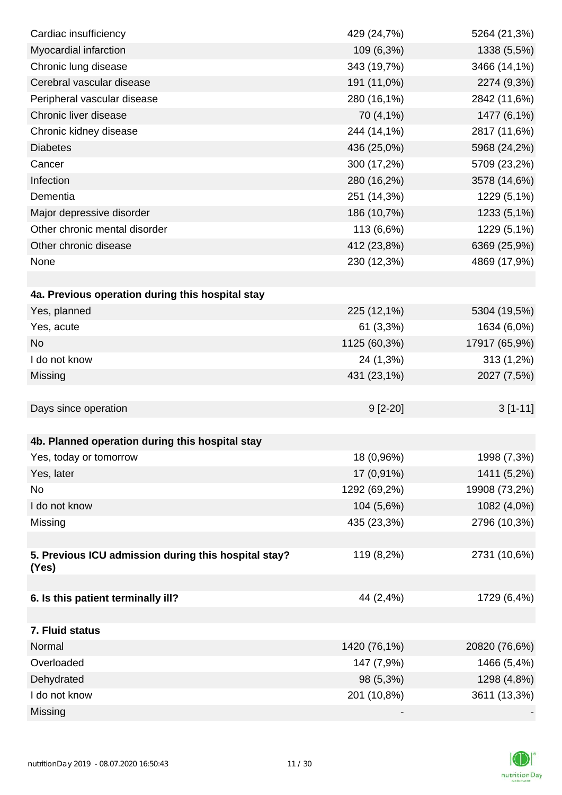| Cardiac insufficiency                                | 429 (24,7%)  | 5264 (21,3%)  |
|------------------------------------------------------|--------------|---------------|
| Myocardial infarction                                | 109 (6,3%)   | 1338 (5,5%)   |
| Chronic lung disease                                 | 343 (19,7%)  | 3466 (14,1%)  |
| Cerebral vascular disease                            | 191 (11,0%)  | 2274 (9,3%)   |
| Peripheral vascular disease                          | 280 (16,1%)  | 2842 (11,6%)  |
| Chronic liver disease                                | 70 (4,1%)    | 1477 (6,1%)   |
| Chronic kidney disease                               | 244 (14,1%)  | 2817 (11,6%)  |
| <b>Diabetes</b>                                      | 436 (25,0%)  | 5968 (24,2%)  |
| Cancer                                               | 300 (17,2%)  | 5709 (23,2%)  |
| Infection                                            | 280 (16,2%)  | 3578 (14,6%)  |
| Dementia                                             | 251 (14,3%)  | 1229 (5,1%)   |
| Major depressive disorder                            | 186 (10,7%)  | 1233 (5,1%)   |
| Other chronic mental disorder                        | 113 (6,6%)   | 1229 (5,1%)   |
| Other chronic disease                                | 412 (23,8%)  | 6369 (25,9%)  |
| None                                                 | 230 (12,3%)  | 4869 (17,9%)  |
|                                                      |              |               |
| 4a. Previous operation during this hospital stay     |              |               |
| Yes, planned                                         | 225 (12,1%)  | 5304 (19,5%)  |
| Yes, acute                                           | 61(3,3%)     | 1634 (6,0%)   |
| <b>No</b>                                            | 1125 (60,3%) | 17917 (65,9%) |
| I do not know                                        | 24 (1,3%)    | 313 (1,2%)    |
| Missing                                              | 431 (23,1%)  | 2027 (7,5%)   |
|                                                      |              |               |
| Days since operation                                 | $9[2-20]$    | $3[1-11]$     |
|                                                      |              |               |
| 4b. Planned operation during this hospital stay      |              |               |
| Yes, today or tomorrow                               | 18 (0,96%)   | 1998 (7,3%)   |
| Yes, later                                           | 17 (0,91%)   | 1411 (5,2%)   |
| No                                                   | 1292 (69,2%) | 19908 (73,2%) |
| I do not know                                        | 104 (5,6%)   | 1082 (4,0%)   |
| Missing                                              | 435 (23,3%)  | 2796 (10,3%)  |
|                                                      |              |               |
| 5. Previous ICU admission during this hospital stay? | 119 (8,2%)   | 2731 (10,6%)  |
| (Yes)                                                |              |               |
|                                                      |              |               |
| 6. Is this patient terminally ill?                   | 44 (2,4%)    | 1729 (6,4%)   |
|                                                      |              |               |
| 7. Fluid status                                      |              |               |
| Normal                                               | 1420 (76,1%) | 20820 (76,6%) |
| Overloaded                                           | 147 (7,9%)   | 1466 (5,4%)   |
| Dehydrated                                           | 98 (5,3%)    | 1298 (4,8%)   |
| I do not know                                        | 201 (10,8%)  | 3611 (13,3%)  |
| Missing                                              |              |               |

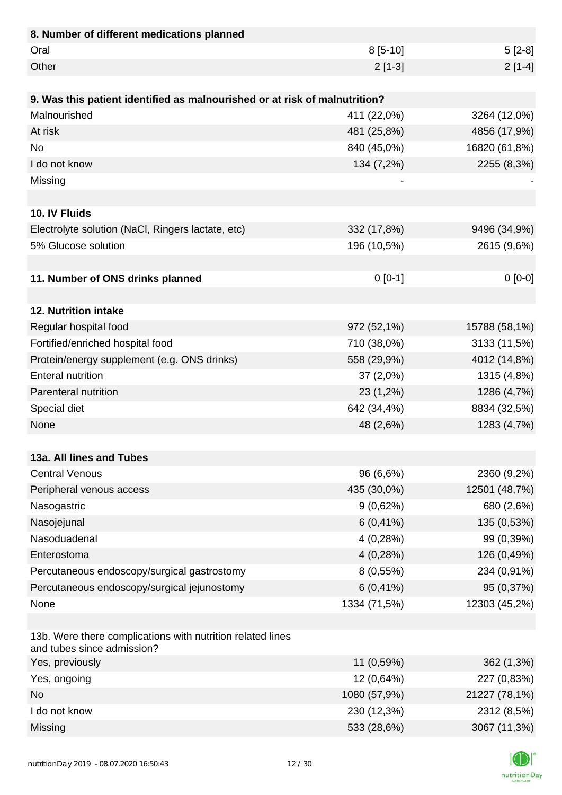| 8. Number of different medications planned                                               |              |               |
|------------------------------------------------------------------------------------------|--------------|---------------|
| Oral                                                                                     | $8[5-10]$    | $5[2-8]$      |
| Other                                                                                    | $2[1-3]$     | $2[1-4]$      |
|                                                                                          |              |               |
| 9. Was this patient identified as malnourished or at risk of malnutrition?               |              |               |
| Malnourished                                                                             | 411 (22,0%)  | 3264 (12,0%)  |
| At risk                                                                                  | 481 (25,8%)  | 4856 (17,9%)  |
| <b>No</b>                                                                                | 840 (45,0%)  | 16820 (61,8%) |
| I do not know                                                                            | 134 (7,2%)   | 2255 (8,3%)   |
| Missing                                                                                  |              |               |
|                                                                                          |              |               |
| 10. IV Fluids                                                                            |              |               |
| Electrolyte solution (NaCl, Ringers lactate, etc)                                        | 332 (17,8%)  | 9496 (34,9%)  |
| 5% Glucose solution                                                                      | 196 (10,5%)  | 2615 (9,6%)   |
|                                                                                          |              |               |
| 11. Number of ONS drinks planned                                                         | $0 [0-1]$    | $0[0-0]$      |
|                                                                                          |              |               |
| 12. Nutrition intake                                                                     |              |               |
| Regular hospital food                                                                    | 972 (52,1%)  | 15788 (58,1%) |
| Fortified/enriched hospital food                                                         | 710 (38,0%)  | 3133 (11,5%)  |
| Protein/energy supplement (e.g. ONS drinks)                                              | 558 (29,9%)  | 4012 (14,8%)  |
| <b>Enteral nutrition</b>                                                                 | 37(2,0%)     | 1315 (4,8%)   |
| Parenteral nutrition                                                                     | 23 (1,2%)    | 1286 (4,7%)   |
| Special diet                                                                             | 642 (34,4%)  | 8834 (32,5%)  |
| None                                                                                     | 48 (2,6%)    | 1283 (4,7%)   |
|                                                                                          |              |               |
| 13a. All lines and Tubes                                                                 |              |               |
| <b>Central Venous</b>                                                                    | 96 (6,6%)    | 2360 (9,2%)   |
| Peripheral venous access                                                                 | 435 (30,0%)  | 12501 (48,7%) |
| Nasogastric                                                                              | 9(0,62%)     | 680 (2,6%)    |
| Nasojejunal                                                                              | $6(0, 41\%)$ | 135 (0,53%)   |
| Nasoduadenal                                                                             | 4(0,28%)     | 99 (0,39%)    |
| Enterostoma                                                                              | 4(0,28%)     | 126 (0,49%)   |
| Percutaneous endoscopy/surgical gastrostomy                                              | $8(0,55\%)$  | 234 (0,91%)   |
| Percutaneous endoscopy/surgical jejunostomy                                              | $6(0, 41\%)$ | 95 (0,37%)    |
| None                                                                                     | 1334 (71,5%) | 12303 (45,2%) |
|                                                                                          |              |               |
| 13b. Were there complications with nutrition related lines<br>and tubes since admission? |              |               |
| Yes, previously                                                                          | 11 (0,59%)   | 362 (1,3%)    |
| Yes, ongoing                                                                             | 12 (0,64%)   | 227 (0,83%)   |
| <b>No</b>                                                                                | 1080 (57,9%) | 21227 (78,1%) |
| I do not know                                                                            | 230 (12,3%)  | 2312 (8,5%)   |
| Missing                                                                                  | 533 (28,6%)  | 3067 (11,3%)  |

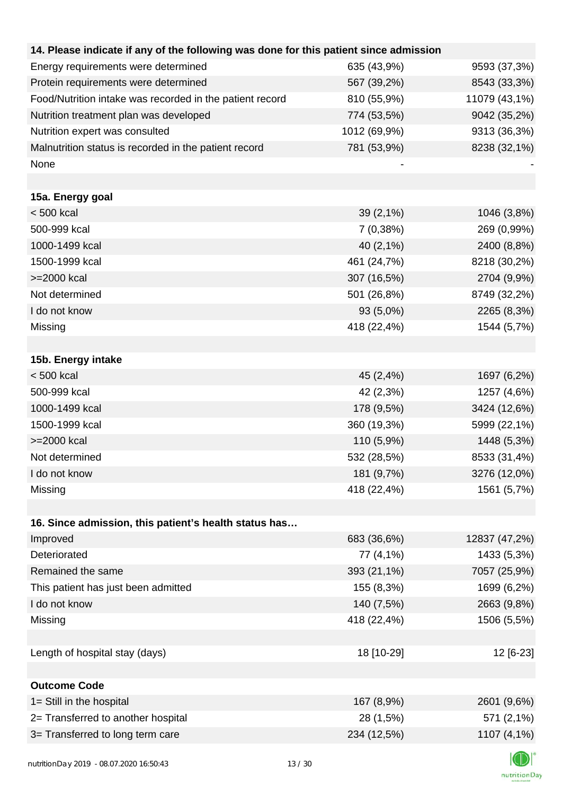| 14. Please indicate if any of the following was done for this patient since admission |              |               |
|---------------------------------------------------------------------------------------|--------------|---------------|
| Energy requirements were determined                                                   | 635 (43,9%)  | 9593 (37,3%)  |
| Protein requirements were determined                                                  | 567 (39,2%)  | 8543 (33,3%)  |
| Food/Nutrition intake was recorded in the patient record                              | 810 (55,9%)  | 11079 (43,1%) |
| Nutrition treatment plan was developed                                                | 774 (53,5%)  | 9042 (35,2%)  |
| Nutrition expert was consulted                                                        | 1012 (69,9%) | 9313 (36,3%)  |
| Malnutrition status is recorded in the patient record                                 | 781 (53,9%)  | 8238 (32,1%)  |
| None                                                                                  |              |               |
|                                                                                       |              |               |
| 15a. Energy goal                                                                      |              |               |
| $< 500$ kcal                                                                          | 39 (2,1%)    | 1046 (3,8%)   |
| 500-999 kcal                                                                          | 7(0,38%)     | 269 (0,99%)   |
| 1000-1499 kcal                                                                        | 40 (2,1%)    | 2400 (8,8%)   |
| 1500-1999 kcal                                                                        | 461 (24,7%)  | 8218 (30,2%)  |
| >=2000 kcal                                                                           | 307 (16,5%)  | 2704 (9,9%)   |
| Not determined                                                                        | 501 (26,8%)  | 8749 (32,2%)  |
| I do not know                                                                         | 93 (5,0%)    | 2265 (8,3%)   |
| Missing                                                                               | 418 (22,4%)  | 1544 (5,7%)   |
|                                                                                       |              |               |
| 15b. Energy intake                                                                    |              |               |
| $< 500$ kcal                                                                          | 45 (2,4%)    | 1697 (6,2%)   |
| 500-999 kcal                                                                          | 42 (2,3%)    | 1257 (4,6%)   |
| 1000-1499 kcal                                                                        | 178 (9,5%)   | 3424 (12,6%)  |
| 1500-1999 kcal                                                                        | 360 (19,3%)  | 5999 (22,1%)  |
| >=2000 kcal                                                                           | 110 (5,9%)   | 1448 (5,3%)   |
| Not determined                                                                        | 532 (28,5%)  | 8533 (31,4%)  |
| I do not know                                                                         | 181 (9,7%)   | 3276 (12,0%)  |
| Missing                                                                               | 418 (22,4%)  | 1561 (5,7%)   |
|                                                                                       |              |               |
| 16. Since admission, this patient's health status has                                 |              |               |
| Improved                                                                              | 683 (36,6%)  | 12837 (47,2%) |
| Deteriorated                                                                          | 77 (4,1%)    | 1433 (5,3%)   |
| Remained the same                                                                     | 393 (21,1%)  | 7057 (25,9%)  |
| This patient has just been admitted                                                   | 155 (8,3%)   | 1699 (6,2%)   |
| I do not know                                                                         | 140 (7,5%)   | 2663 (9,8%)   |
| Missing                                                                               | 418 (22,4%)  | 1506 (5,5%)   |
|                                                                                       |              |               |
| Length of hospital stay (days)                                                        | 18 [10-29]   | 12 [6-23]     |
|                                                                                       |              |               |
| <b>Outcome Code</b>                                                                   |              |               |
| 1= Still in the hospital                                                              | 167 (8,9%)   | 2601 (9,6%)   |
| 2= Transferred to another hospital                                                    | 28 (1,5%)    | 571 (2,1%)    |
| 3= Transferred to long term care                                                      | 234 (12,5%)  | 1107 (4,1%)   |
|                                                                                       |              |               |

K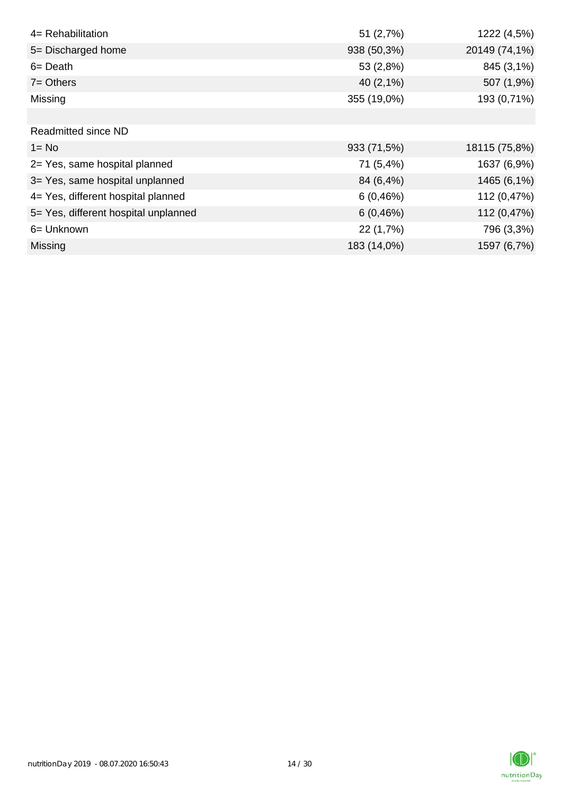| 4= Rehabilitation                    | 51(2,7%)     | 1222 (4,5%)   |
|--------------------------------------|--------------|---------------|
| 5= Discharged home                   | 938 (50,3%)  | 20149 (74,1%) |
| $6 = Death$                          | 53 (2,8%)    | 845 (3,1%)    |
| $7 =$ Others                         | 40 $(2,1\%)$ | 507 (1,9%)    |
| Missing                              | 355 (19,0%)  | 193 (0,71%)   |
|                                      |              |               |
| <b>Readmitted since ND</b>           |              |               |
| $1 = No$                             | 933 (71,5%)  | 18115 (75,8%) |
| 2= Yes, same hospital planned        | 71 (5,4%)    | 1637 (6,9%)   |
| 3= Yes, same hospital unplanned      | 84 (6,4%)    | 1465 (6,1%)   |
| 4= Yes, different hospital planned   | $6(0, 46\%)$ | 112 (0,47%)   |
| 5= Yes, different hospital unplanned | 6(0, 46%)    | 112 (0,47%)   |
| 6= Unknown                           | 22 (1,7%)    | 796 (3,3%)    |
| <b>Missing</b>                       | 183 (14,0%)  | 1597 (6,7%)   |

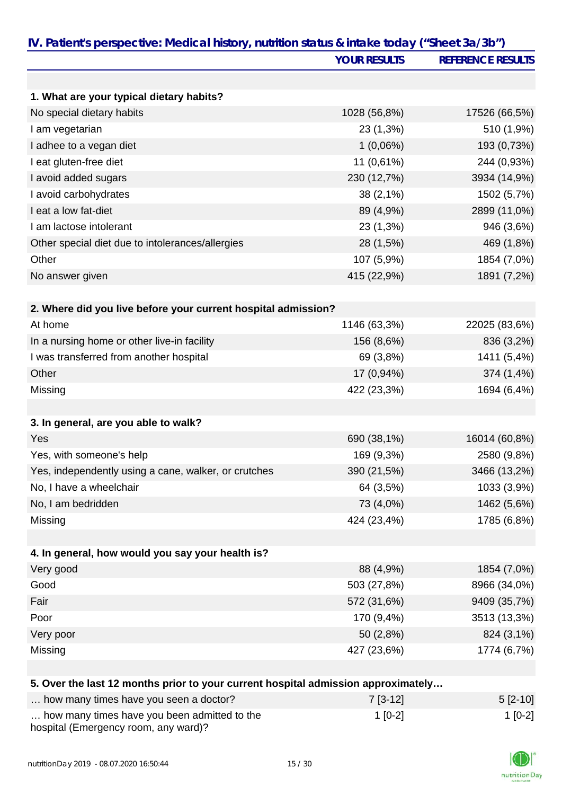|                                                                                   | <b>YOUR RESULTS</b>      | <b>REFERENCE RESULTS</b>    |
|-----------------------------------------------------------------------------------|--------------------------|-----------------------------|
|                                                                                   |                          |                             |
| 1. What are your typical dietary habits?                                          |                          |                             |
| No special dietary habits                                                         | 1028 (56,8%)             | 17526 (66,5%)               |
| I am vegetarian                                                                   | 23 (1,3%)                | 510 (1,9%)                  |
| I adhee to a vegan diet                                                           | 1(0,06%)                 | 193 (0,73%)                 |
| I eat gluten-free diet                                                            | 11 (0,61%)               | 244 (0,93%)                 |
| I avoid added sugars                                                              | 230 (12,7%)              | 3934 (14,9%)                |
| I avoid carbohydrates                                                             | $38(2,1\%)$              | 1502 (5,7%)                 |
| I eat a low fat-diet                                                              | 89 (4,9%)                | 2899 (11,0%)                |
| I am lactose intolerant                                                           | 23 (1,3%)                | 946 (3,6%)                  |
| Other special diet due to intolerances/allergies                                  | 28 (1,5%)                | 469 (1,8%)                  |
| Other                                                                             | 107 (5,9%)               | 1854 (7,0%)                 |
| No answer given                                                                   | 415 (22,9%)              | 1891 (7,2%)                 |
|                                                                                   |                          |                             |
| 2. Where did you live before your current hospital admission?                     |                          |                             |
| At home                                                                           | 1146 (63,3%)             | 22025 (83,6%)               |
| In a nursing home or other live-in facility                                       | 156 (8,6%)               | 836 (3,2%)                  |
| I was transferred from another hospital                                           | 69 (3,8%)                | 1411 (5,4%)                 |
| Other                                                                             | 17 (0,94%)               | 374 (1,4%)                  |
| Missing                                                                           | 422 (23,3%)              | 1694 (6,4%)                 |
| 3. In general, are you able to walk?                                              |                          |                             |
| Yes                                                                               | 690 (38,1%)              | 16014 (60,8%)               |
| Yes, with someone's help                                                          | 169 (9,3%)               |                             |
|                                                                                   | 390 (21,5%)              | 2580 (9,8%)<br>3466 (13,2%) |
| Yes, independently using a cane, walker, or crutches<br>No, I have a wheelchair   | 64 (3,5%)                | 1033 (3,9%)                 |
| No, I am bedridden                                                                |                          |                             |
|                                                                                   | 73 (4,0%)<br>424 (23,4%) | 1462 (5,6%)                 |
| Missing                                                                           |                          | 1785 (6,8%)                 |
| 4. In general, how would you say your health is?                                  |                          |                             |
| Very good                                                                         | 88 (4,9%)                | 1854 (7,0%)                 |
| Good                                                                              | 503 (27,8%)              | 8966 (34,0%)                |
| Fair                                                                              | 572 (31,6%)              | 9409 (35,7%)                |
| Poor                                                                              | 170 (9,4%)               | 3513 (13,3%)                |
| Very poor                                                                         | 50 (2,8%)                | 824 (3,1%)                  |
| Missing                                                                           | 427 (23,6%)              | 1774 (6,7%)                 |
|                                                                                   |                          |                             |
| 5. Over the last 12 months prior to your current hospital admission approximately |                          |                             |

| how many times have you seen a doctor?                                               | $7$ [3-12] | $5 [2 - 10]$ |
|--------------------------------------------------------------------------------------|------------|--------------|
| how many times have you been admitted to the<br>hospital (Emergency room, any ward)? | $1$ [0-2]  | $1$ [0-2]    |

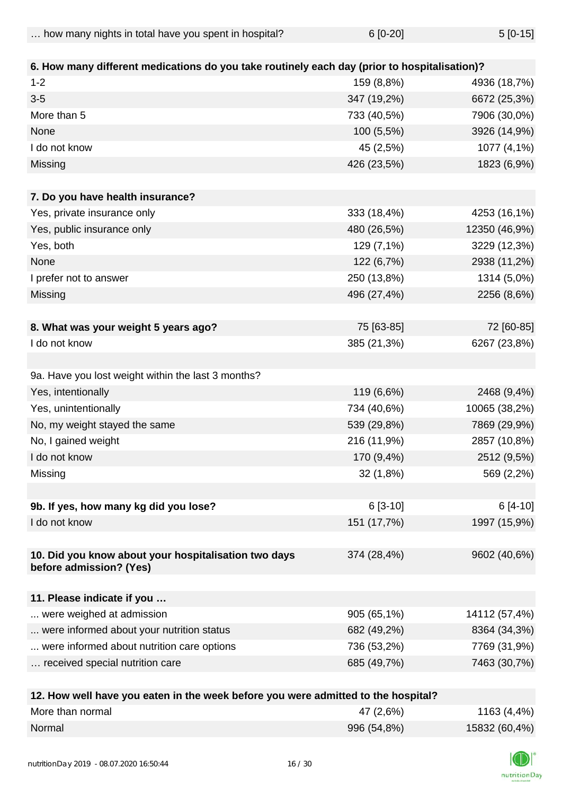| how many nights in total have you spent in hospital? | $6[0-20]$<br>$5[0-15]$ |
|------------------------------------------------------|------------------------|
|------------------------------------------------------|------------------------|

| 6. How many different medications do you take routinely each day (prior to hospitalisation)? |             |               |
|----------------------------------------------------------------------------------------------|-------------|---------------|
| $1 - 2$                                                                                      | 159 (8,8%)  | 4936 (18,7%)  |
| $3-5$                                                                                        | 347 (19,2%) | 6672 (25,3%)  |
| More than 5                                                                                  | 733 (40,5%) | 7906 (30,0%)  |
| None                                                                                         | 100 (5,5%)  | 3926 (14,9%)  |
| I do not know                                                                                | 45 (2,5%)   | 1077 (4,1%)   |
| Missing                                                                                      | 426 (23,5%) | 1823 (6,9%)   |
|                                                                                              |             |               |
| 7. Do you have health insurance?                                                             |             |               |
| Yes, private insurance only                                                                  | 333 (18,4%) | 4253 (16,1%)  |
| Yes, public insurance only                                                                   | 480 (26,5%) | 12350 (46,9%) |
| Yes, both                                                                                    | 129 (7,1%)  | 3229 (12,3%)  |
| None                                                                                         | 122 (6,7%)  | 2938 (11,2%)  |
| I prefer not to answer                                                                       | 250 (13,8%) | 1314 (5,0%)   |
| Missing                                                                                      | 496 (27,4%) | 2256 (8,6%)   |
|                                                                                              |             |               |
| 8. What was your weight 5 years ago?                                                         | 75 [63-85]  | 72 [60-85]    |
| I do not know                                                                                | 385 (21,3%) | 6267 (23,8%)  |
|                                                                                              |             |               |
| 9a. Have you lost weight within the last 3 months?                                           |             |               |
| Yes, intentionally                                                                           | 119 (6,6%)  | 2468 (9,4%)   |
| Yes, unintentionally                                                                         | 734 (40,6%) | 10065 (38,2%) |
| No, my weight stayed the same                                                                | 539 (29,8%) | 7869 (29,9%)  |
| No, I gained weight                                                                          | 216 (11,9%) | 2857 (10,8%)  |
| I do not know                                                                                | 170 (9,4%)  | 2512 (9,5%)   |
| Missing                                                                                      | 32(1,8%)    | 569 (2,2%)    |
|                                                                                              |             |               |
| 9b. If yes, how many kg did you lose?                                                        | $6[3-10]$   | 6 [4-10]      |
| I do not know                                                                                | 151 (17,7%) | 1997 (15,9%)  |
|                                                                                              |             |               |
| 10. Did you know about your hospitalisation two days<br>before admission? (Yes)              | 374 (28,4%) | 9602 (40,6%)  |
|                                                                                              |             |               |
| 11. Please indicate if you                                                                   |             |               |
| were weighed at admission                                                                    | 905 (65,1%) | 14112 (57,4%) |
| were informed about your nutrition status                                                    | 682 (49,2%) | 8364 (34,3%)  |
| were informed about nutrition care options                                                   | 736 (53,2%) | 7769 (31,9%)  |
| received special nutrition care                                                              | 685 (49,7%) | 7463 (30,7%)  |
|                                                                                              |             |               |

| 12. How well have you eaten in the week before you were admitted to the hospital? |             |               |
|-----------------------------------------------------------------------------------|-------------|---------------|
| More than normal                                                                  | 47 (2,6%)   | 1163 (4,4%)   |
| Normal                                                                            | 996 (54,8%) | 15832 (60,4%) |

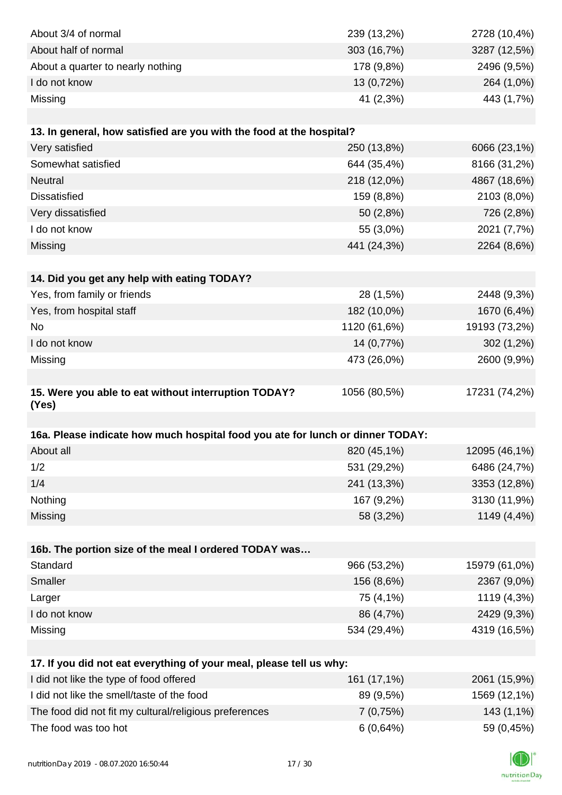| About 3/4 of normal                                                            | 239 (13,2%)  | 2728 (10,4%)  |
|--------------------------------------------------------------------------------|--------------|---------------|
| About half of normal                                                           | 303 (16,7%)  | 3287 (12,5%)  |
| About a quarter to nearly nothing                                              | 178 (9,8%)   | 2496 (9,5%)   |
| I do not know                                                                  | 13 (0,72%)   | 264 (1,0%)    |
| Missing                                                                        | 41 (2,3%)    | 443 (1,7%)    |
|                                                                                |              |               |
| 13. In general, how satisfied are you with the food at the hospital?           |              |               |
| Very satisfied                                                                 | 250 (13,8%)  | 6066 (23,1%)  |
| Somewhat satisfied                                                             | 644 (35,4%)  | 8166 (31,2%)  |
| <b>Neutral</b>                                                                 | 218 (12,0%)  | 4867 (18,6%)  |
| <b>Dissatisfied</b>                                                            | 159 (8,8%)   | 2103 (8,0%)   |
| Very dissatisfied                                                              | 50 (2,8%)    | 726 (2,8%)    |
| I do not know                                                                  | 55 (3,0%)    | 2021 (7,7%)   |
| Missing                                                                        | 441 (24,3%)  | 2264 (8,6%)   |
|                                                                                |              |               |
| 14. Did you get any help with eating TODAY?                                    |              |               |
| Yes, from family or friends                                                    | 28 (1,5%)    | 2448 (9,3%)   |
| Yes, from hospital staff                                                       | 182 (10,0%)  | 1670 (6,4%)   |
| <b>No</b>                                                                      | 1120 (61,6%) | 19193 (73,2%) |
| I do not know                                                                  | 14 (0,77%)   | $302(1,2\%)$  |
| Missing                                                                        | 473 (26,0%)  | 2600 (9,9%)   |
|                                                                                |              |               |
| 15. Were you able to eat without interruption TODAY?<br>(Yes)                  | 1056 (80,5%) | 17231 (74,2%) |
|                                                                                |              |               |
| 16a. Please indicate how much hospital food you ate for lunch or dinner TODAY: |              |               |
| About all                                                                      | 820 (45,1%)  | 12095 (46,1%) |
| 1/2                                                                            | 531 (29,2%)  | 6486 (24,7%)  |
| 1/4                                                                            | 241 (13,3%)  | 3353 (12,8%)  |
| Nothing                                                                        | 167 (9,2%)   | 3130 (11,9%)  |
| Missing                                                                        | 58 (3,2%)    | 1149 (4,4%)   |
|                                                                                |              |               |
| 16b. The portion size of the meal I ordered TODAY was                          |              |               |
| Standard                                                                       | 966 (53,2%)  | 15979 (61,0%) |
| Smaller                                                                        | 156 (8,6%)   | 2367 (9,0%)   |
| Larger                                                                         | 75 (4,1%)    | 1119 (4,3%)   |
| I do not know                                                                  | 86 (4,7%)    | 2429 (9,3%)   |
| Missing                                                                        | 534 (29,4%)  | 4319 (16,5%)  |
|                                                                                |              |               |
| 17. If you did not eat everything of your meal, please tell us why:            |              |               |
| I did not like the type of food offered                                        | 161 (17,1%)  | 2061 (15,9%)  |
| I did not like the smell/taste of the food                                     | 89 (9,5%)    | 1569 (12,1%)  |
| The food did not fit my cultural/religious preferences                         | 7(0,75%)     | 143 (1,1%)    |
| The food was too hot                                                           | 6(0,64%)     | 59 (0,45%)    |

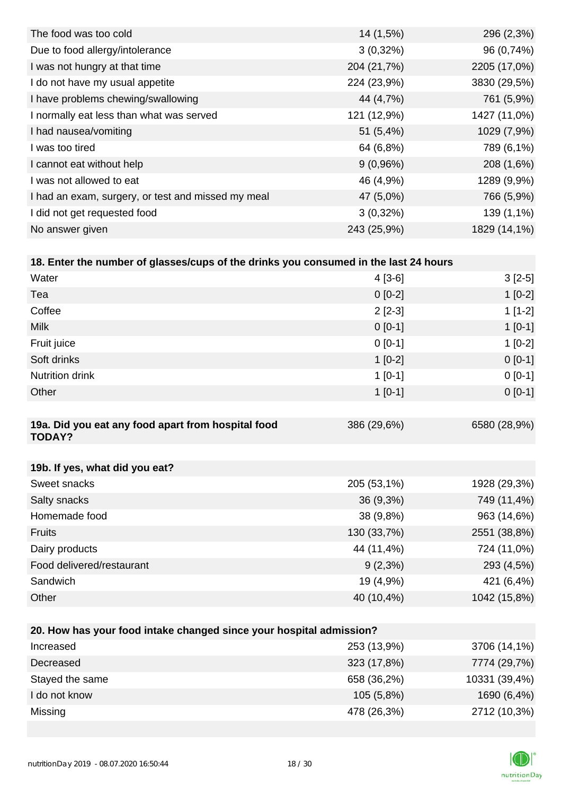| 14 (1,5%)   | 296 (2,3%)   |
|-------------|--------------|
| $3(0,32\%)$ | 96 (0,74%)   |
| 204 (21,7%) | 2205 (17,0%) |
| 224 (23,9%) | 3830 (29,5%) |
| 44 (4,7%)   | 761 (5,9%)   |
| 121 (12,9%) | 1427 (11,0%) |
| 51(5,4%)    | 1029 (7,9%)  |
| 64 (6,8%)   | 789 (6,1%)   |
| $9(0,96\%)$ | 208 (1,6%)   |
| 46 (4,9%)   | 1289 (9,9%)  |
| 47 (5,0%)   | 766 (5,9%)   |
| $3(0,32\%)$ | 139 (1,1%)   |
| 243 (25,9%) | 1829 (14,1%) |
|             |              |

| 18. Enter the number of glasses/cups of the drinks you consumed in the last 24 hours |             |              |
|--------------------------------------------------------------------------------------|-------------|--------------|
| Water                                                                                | $4[3-6]$    | $3[2-5]$     |
| Tea                                                                                  | $0[0-2]$    | $1[0-2]$     |
| Coffee                                                                               | $2$ [2-3]   | $1[1-2]$     |
| <b>Milk</b>                                                                          | $0[0-1]$    | $1$ [0-1]    |
| Fruit juice                                                                          | $0[0-1]$    | $1[0-2]$     |
| Soft drinks                                                                          | $1[0-2]$    | $0[0-1]$     |
| <b>Nutrition drink</b>                                                               | $1$ [0-1]   | $0[0-1]$     |
| Other                                                                                | $1$ [0-1]   | $0[0-1]$     |
|                                                                                      |             |              |
| 19a. Did you eat any food apart from hospital food<br><b>TODAY?</b>                  | 386 (29,6%) | 6580 (28,9%) |

| 19b. If yes, what did you eat? |             |              |
|--------------------------------|-------------|--------------|
| Sweet snacks                   | 205 (53,1%) | 1928 (29,3%) |
| Salty snacks                   | $36(9,3\%)$ | 749 (11,4%)  |
| Homemade food                  | 38 (9,8%)   | 963 (14,6%)  |
| <b>Fruits</b>                  | 130 (33,7%) | 2551 (38,8%) |
| Dairy products                 | 44 (11,4%)  | 724 (11,0%)  |
| Food delivered/restaurant      | $9(2,3\%)$  | 293 (4,5%)   |
| Sandwich                       | 19 (4,9%)   | 421 (6,4%)   |
| Other                          | 40 (10,4%)  | 1042 (15,8%) |

| 20. How has your food intake changed since your hospital admission? |             |               |  |
|---------------------------------------------------------------------|-------------|---------------|--|
| Increased                                                           | 253 (13,9%) | 3706 (14,1%)  |  |
| Decreased                                                           | 323 (17,8%) | 7774 (29,7%)  |  |
| Stayed the same                                                     | 658 (36,2%) | 10331 (39,4%) |  |
| I do not know                                                       | 105(5,8%)   | 1690 (6,4%)   |  |
| Missing                                                             | 478 (26,3%) | 2712 (10,3%)  |  |

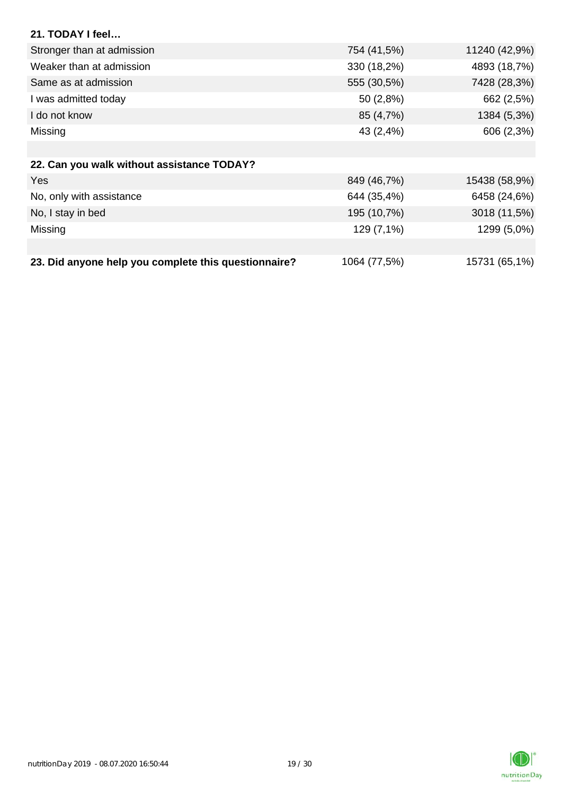| 21. TODAY I feel                                     |              |               |
|------------------------------------------------------|--------------|---------------|
| Stronger than at admission                           | 754 (41,5%)  | 11240 (42,9%) |
| Weaker than at admission                             | 330 (18,2%)  | 4893 (18,7%)  |
| Same as at admission                                 | 555 (30,5%)  | 7428 (28,3%)  |
| I was admitted today                                 | 50 (2,8%)    | 662 (2,5%)    |
| I do not know                                        | 85 (4,7%)    | 1384 (5,3%)   |
| Missing                                              | 43 (2,4%)    | 606 (2,3%)    |
|                                                      |              |               |
| 22. Can you walk without assistance TODAY?           |              |               |
| <b>Yes</b>                                           | 849 (46,7%)  | 15438 (58,9%) |
| No, only with assistance                             | 644 (35,4%)  | 6458 (24,6%)  |
| No, I stay in bed                                    | 195 (10,7%)  | 3018 (11,5%)  |
| Missing                                              | 129 (7,1%)   | 1299 (5,0%)   |
|                                                      |              |               |
| 23. Did anyone help you complete this questionnaire? | 1064 (77,5%) | 15731 (65,1%) |

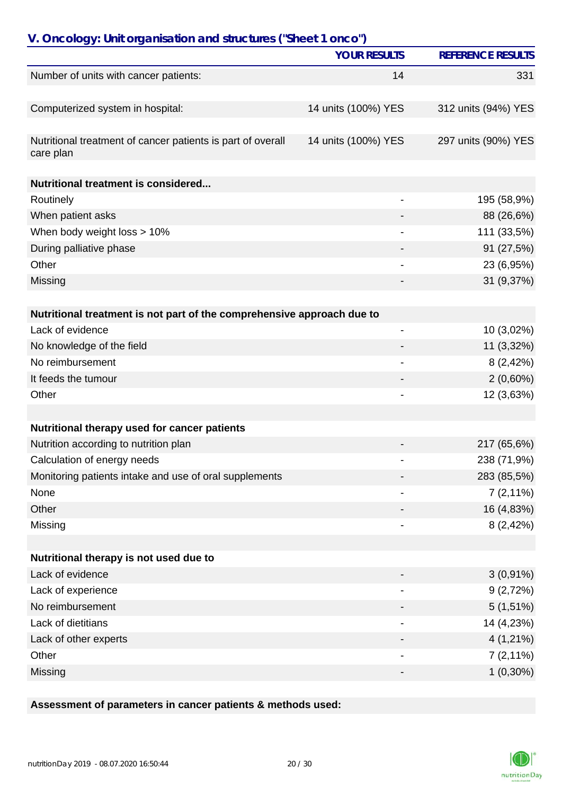| V. Oncology: Unit organisation and structures ("Sheet 1 onco")         | <b>YOUR RESULTS</b>      | <b>REFERENCE RESULTS</b> |
|------------------------------------------------------------------------|--------------------------|--------------------------|
|                                                                        |                          |                          |
| Number of units with cancer patients:                                  | 14                       | 331                      |
| Computerized system in hospital:                                       | 14 units (100%) YES      | 312 units (94%) YES      |
| Nutritional treatment of cancer patients is part of overall            | 14 units (100%) YES      | 297 units (90%) YES      |
| care plan                                                              |                          |                          |
| Nutritional treatment is considered                                    |                          |                          |
| Routinely                                                              |                          | 195 (58,9%)              |
| When patient asks                                                      |                          | 88 (26,6%)               |
| When body weight loss > 10%                                            |                          | 111 (33,5%)              |
| During palliative phase                                                |                          | 91 (27,5%)               |
| Other                                                                  |                          | 23 (6,95%)               |
| Missing                                                                |                          | 31 (9,37%)               |
| Nutritional treatment is not part of the comprehensive approach due to |                          |                          |
| Lack of evidence                                                       | $\overline{\phantom{0}}$ | 10 (3,02%)               |
| No knowledge of the field                                              |                          | 11 (3,32%)               |
| No reimbursement                                                       |                          | 8(2,42%)                 |
| It feeds the tumour                                                    |                          | $2(0,60\%)$              |
| Other                                                                  |                          | 12 (3,63%)               |
|                                                                        |                          |                          |
| Nutritional therapy used for cancer patients                           |                          |                          |
| Nutrition according to nutrition plan                                  |                          | 217 (65,6%)              |
| Calculation of energy needs                                            |                          | 238 (71,9%)              |
| Monitoring patients intake and use of oral supplements                 |                          | 283 (85,5%)              |
| None                                                                   |                          | $7(2,11\%)$              |
| Other                                                                  |                          | 16 (4,83%)               |
| Missing                                                                |                          | 8(2,42%)                 |
| Nutritional therapy is not used due to                                 |                          |                          |
| Lack of evidence                                                       |                          | $3(0,91\%)$              |
| Lack of experience                                                     |                          | 9(2,72%)                 |
| No reimbursement                                                       |                          | $5(1,51\%)$              |
| Lack of dietitians                                                     |                          | 14 (4,23%)               |
| Lack of other experts                                                  |                          | $4(1,21\%)$              |
| Other                                                                  |                          | $7(2,11\%)$              |
| Missing                                                                |                          | $1(0,30\%)$              |

### **Assessment of parameters in cancer patients & methods used:**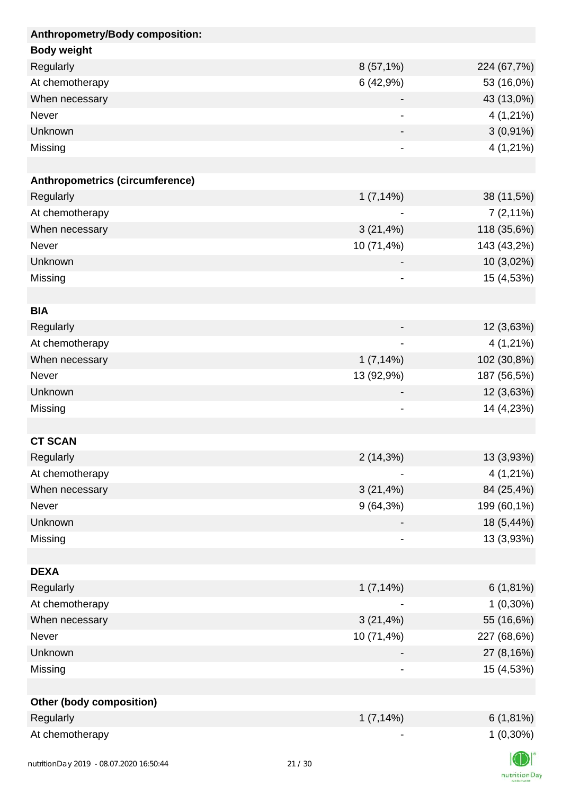| Anthropometry/Body composition: |              |                |
|---------------------------------|--------------|----------------|
| <b>Body weight</b>              |              |                |
| Regularly                       | 8 (57,1%)    | 224 (67,7%)    |
| At chemotherapy                 | 6(42,9%)     | 53 (16,0%)     |
| When necessary                  |              | 43 (13,0%)     |
| Never                           | -            | 4 (1,21%)      |
| Unknown                         |              | $3(0,91\%)$    |
| Missing                         | -            | $4(1,21\%)$    |
|                                 |              |                |
| Anthropometrics (circumference) |              |                |
| Regularly                       | 1(7,14%)     | 38 (11,5%)     |
| At chemotherapy                 |              | $7(2,11\%)$    |
| When necessary                  | 3(21,4%)     | 118 (35,6%)    |
| Never                           | 10 (71,4%)   | 143 (43,2%)    |
| Unknown                         |              | 10 (3,02%)     |
| Missing                         |              | 15 (4,53%)     |
|                                 |              |                |
| <b>BIA</b>                      |              |                |
| Regularly                       |              | 12 (3,63%)     |
| At chemotherapy                 |              | $4(1,21\%)$    |
| When necessary                  | 1(7,14%)     | 102 (30,8%)    |
| Never                           | 13 (92,9%)   | 187 (56,5%)    |
| Unknown                         | -            | 12 (3,63%)     |
| Missing                         | -            | 14 (4,23%)     |
|                                 |              |                |
| <b>CT SCAN</b>                  |              |                |
| Regularly                       | 2(14,3%)     | 13 (3,93%)     |
| At chemotherapy                 |              | 4 (1,21%)      |
| When necessary                  | $3(21, 4\%)$ | 84 (25,4%)     |
| Never                           | $9(64,3\%)$  | 199 (60,1%)    |
| Unknown                         |              | 18 (5,44%)     |
| Missing                         |              | 13 (3,93%)     |
|                                 |              |                |
| <b>DEXA</b>                     |              |                |
| Regularly                       | 1(7,14%)     | $6(1,81\%)$    |
| At chemotherapy                 |              | $1(0,30\%)$    |
| When necessary                  | $3(21, 4\%)$ | 55 (16,6%)     |
| Never                           | 10 (71,4%)   | 227 (68,6%)    |
| Unknown                         |              | 27 (8,16%)     |
| Missing                         | -            | 15 (4,53%)     |
|                                 |              |                |
| <b>Other (body composition)</b> |              |                |
| Regularly                       | 1(7,14%)     | $6(1,81\%)$    |
| At chemotherapy                 |              | $1(0,30\%)$    |
|                                 |              | $\blacksquare$ |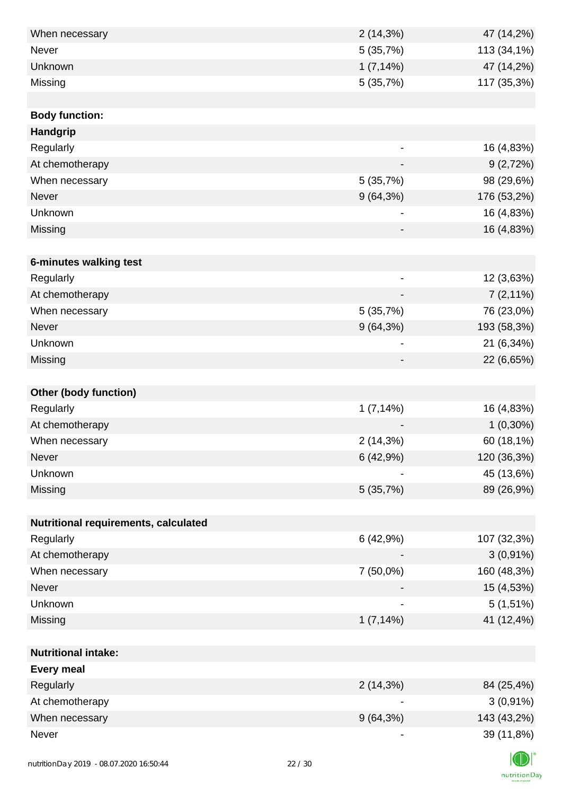| When necessary                           |       | 2(14,3%)                 | 47 (14,2%)  |
|------------------------------------------|-------|--------------------------|-------------|
| Never                                    |       | 5(35,7%)                 | 113 (34,1%) |
| Unknown                                  |       | $1(7,14\%)$              | 47 (14,2%)  |
| Missing                                  |       | 5 (35,7%)                | 117 (35,3%) |
|                                          |       |                          |             |
| <b>Body function:</b>                    |       |                          |             |
| <b>Handgrip</b>                          |       |                          |             |
| Regularly                                |       |                          | 16 (4,83%)  |
| At chemotherapy                          |       |                          | 9(2,72%)    |
| When necessary                           |       | 5 (35,7%)                | 98 (29,6%)  |
| Never                                    |       | $9(64,3\%)$              | 176 (53,2%) |
| Unknown                                  |       |                          | 16 (4,83%)  |
| Missing                                  |       |                          | 16 (4,83%)  |
|                                          |       |                          |             |
| 6-minutes walking test                   |       |                          |             |
| Regularly                                |       | $\overline{\phantom{0}}$ | 12 (3,63%)  |
| At chemotherapy                          |       |                          | $7(2,11\%)$ |
| When necessary                           |       | 5(35,7%)                 | 76 (23,0%)  |
| Never                                    |       | 9(64,3%)                 | 193 (58,3%) |
| Unknown                                  |       | -                        | 21 (6,34%)  |
| Missing                                  |       |                          | 22 (6,65%)  |
|                                          |       |                          |             |
| <b>Other (body function)</b>             |       |                          |             |
| Regularly                                |       | 1(7,14%)                 | 16 (4,83%)  |
| At chemotherapy                          |       |                          | $1(0,30\%)$ |
| When necessary                           |       | 2(14,3%)                 | 60 (18,1%)  |
| <b>Never</b>                             |       | 6(42,9%)                 | 120 (36,3%) |
| Unknown                                  |       |                          | 45 (13,6%)  |
| Missing                                  |       | 5(35,7%)                 | 89 (26,9%)  |
|                                          |       |                          |             |
| Nutritional requirements, calculated     |       |                          |             |
| Regularly                                |       | 6(42,9%)                 | 107 (32,3%) |
| At chemotherapy                          |       |                          | $3(0,91\%)$ |
| When necessary                           |       | 7 (50,0%)                | 160 (48,3%) |
| Never                                    |       |                          | 15 (4,53%)  |
| Unknown                                  |       |                          | $5(1,51\%)$ |
| Missing                                  |       | 1(7,14%)                 | 41 (12,4%)  |
|                                          |       |                          |             |
| <b>Nutritional intake:</b>               |       |                          |             |
| <b>Every meal</b>                        |       |                          |             |
| Regularly                                |       | $2(14,3\%)$              | 84 (25,4%)  |
| At chemotherapy                          |       |                          | $3(0,91\%)$ |
| When necessary                           |       | $9(64,3\%)$              | 143 (43,2%) |
| Never                                    |       |                          | 39 (11,8%)  |
|                                          |       |                          |             |
| nutrition Day 2019 - 08.07.2020 16:50:44 | 22/30 |                          |             |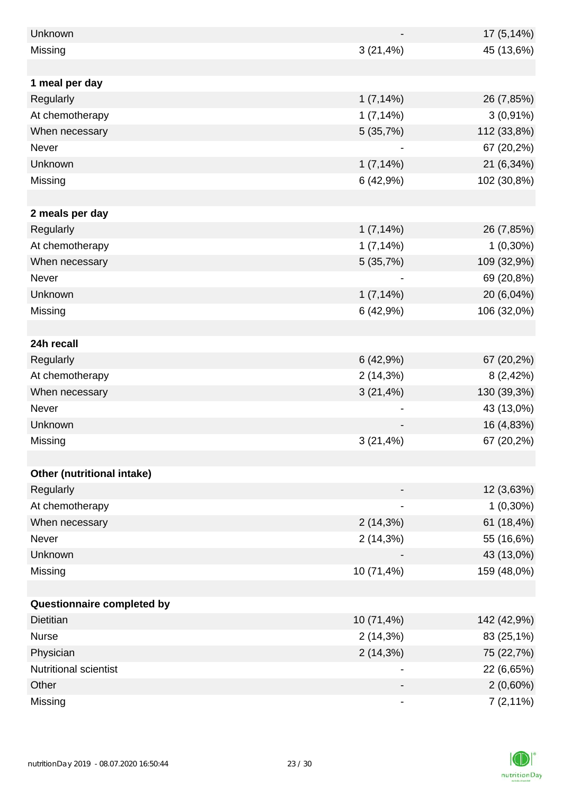| Unknown                    |              | 17 (5,14%)  |
|----------------------------|--------------|-------------|
| Missing                    | 3(21,4%)     | 45 (13,6%)  |
|                            |              |             |
| 1 meal per day             |              |             |
| Regularly                  | 1(7,14%)     | 26 (7,85%)  |
| At chemotherapy            | 1(7,14%)     | $3(0,91\%)$ |
| When necessary             | 5(35,7%)     | 112 (33,8%) |
| Never                      |              | 67 (20,2%)  |
| Unknown                    | 1(7,14%)     | 21 (6,34%)  |
| Missing                    | 6(42,9%)     | 102 (30,8%) |
|                            |              |             |
| 2 meals per day            |              |             |
| Regularly                  | $1(7,14\%)$  | 26 (7,85%)  |
| At chemotherapy            | 1(7,14%)     | $1(0,30\%)$ |
| When necessary             | 5(35,7%)     | 109 (32,9%) |
| Never                      |              | 69 (20,8%)  |
| Unknown                    | 1(7,14%)     | 20 (6,04%)  |
| Missing                    | 6(42,9%)     | 106 (32,0%) |
|                            |              |             |
| 24h recall                 |              |             |
| Regularly                  | 6(42,9%)     | 67 (20,2%)  |
| At chemotherapy            | 2(14,3%)     | 8(2,42%)    |
| When necessary             | $3(21, 4\%)$ | 130 (39,3%) |
| Never                      |              | 43 (13,0%)  |
| Unknown                    |              | 16 (4,83%)  |
| Missing                    | $3(21, 4\%)$ | 67 (20,2%)  |
|                            |              |             |
| Other (nutritional intake) |              |             |
| Regularly                  |              | 12 (3,63%)  |
| At chemotherapy            |              | $1(0,30\%)$ |
| When necessary             | 2(14,3%)     | 61 (18,4%)  |
| Never                      | 2(14,3%)     | 55 (16,6%)  |
| Unknown                    |              | 43 (13,0%)  |
| Missing                    | 10 (71,4%)   | 159 (48,0%) |
|                            |              |             |
| Questionnaire completed by |              |             |
| <b>Dietitian</b>           | 10 (71,4%)   | 142 (42,9%) |
| <b>Nurse</b>               | 2(14,3%)     | 83 (25,1%)  |
| Physician                  | 2(14,3%)     | 75 (22,7%)  |
| Nutritional scientist      |              | 22 (6,65%)  |
| Other                      |              | $2(0,60\%)$ |
| Missing                    |              | $7(2,11\%)$ |

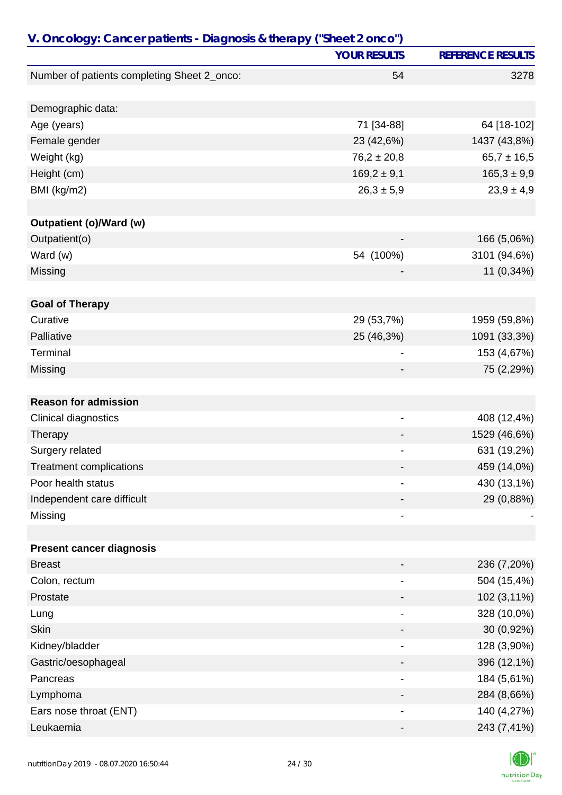| V. Oncology: Cancer patients - Diagnosis & therapy ("Sheet 2 onco") |                              |                          |  |
|---------------------------------------------------------------------|------------------------------|--------------------------|--|
|                                                                     | <b>YOUR RESULTS</b>          | <b>REFERENCE RESULTS</b> |  |
| Number of patients completing Sheet 2_onco:                         | 54                           | 3278                     |  |
|                                                                     |                              |                          |  |
| Demographic data:                                                   |                              |                          |  |
| Age (years)                                                         | 71 [34-88]                   | 64 [18-102]              |  |
| Female gender                                                       | 23 (42,6%)                   | 1437 (43,8%)             |  |
| Weight (kg)                                                         | $76,2 \pm 20,8$              | $65,7 \pm 16,5$          |  |
| Height (cm)                                                         | $169,2 \pm 9,1$              | $165,3 \pm 9,9$          |  |
| BMI (kg/m2)                                                         | $26,3 \pm 5,9$               | $23,9 \pm 4,9$           |  |
|                                                                     |                              |                          |  |
| Outpatient (o)/Ward (w)                                             |                              |                          |  |
| Outpatient(o)                                                       |                              | 166 (5,06%)              |  |
| Ward (w)                                                            | 54 (100%)                    | 3101 (94,6%)             |  |
| Missing                                                             |                              | 11 (0,34%)               |  |
| <b>Goal of Therapy</b>                                              |                              |                          |  |
| Curative                                                            | 29 (53,7%)                   | 1959 (59,8%)             |  |
| Palliative                                                          | 25 (46,3%)                   | 1091 (33,3%)             |  |
| Terminal                                                            | ۰                            | 153 (4,67%)              |  |
| Missing                                                             |                              | 75 (2,29%)               |  |
|                                                                     |                              |                          |  |
| <b>Reason for admission</b>                                         |                              |                          |  |
| Clinical diagnostics                                                | -                            | 408 (12,4%)              |  |
| Therapy                                                             |                              | 1529 (46,6%)             |  |
| Surgery related                                                     |                              | 631 (19,2%)              |  |
| <b>Treatment complications</b>                                      |                              | 459 (14,0%)              |  |
| Poor health status                                                  | $\blacksquare$               | 430 (13,1%)              |  |
| Independent care difficult                                          |                              | 29 (0,88%)               |  |
| Missing                                                             |                              |                          |  |
|                                                                     |                              |                          |  |
| <b>Present cancer diagnosis</b>                                     |                              |                          |  |
| <b>Breast</b>                                                       |                              | 236 (7,20%)              |  |
| Colon, rectum                                                       |                              | 504 (15,4%)              |  |
| Prostate                                                            |                              | 102 (3,11%)              |  |
| Lung                                                                | $\qquad \qquad \blacksquare$ | 328 (10,0%)              |  |
| <b>Skin</b>                                                         |                              | 30 (0,92%)               |  |
| Kidney/bladder                                                      |                              | 128 (3,90%)              |  |
| Gastric/oesophageal                                                 |                              | 396 (12,1%)              |  |
| Pancreas                                                            |                              | 184 (5,61%)              |  |
| Lymphoma                                                            |                              | 284 (8,66%)              |  |
| Ears nose throat (ENT)                                              |                              | 140 (4,27%)              |  |
| Leukaemia                                                           |                              | 243 (7,41%)              |  |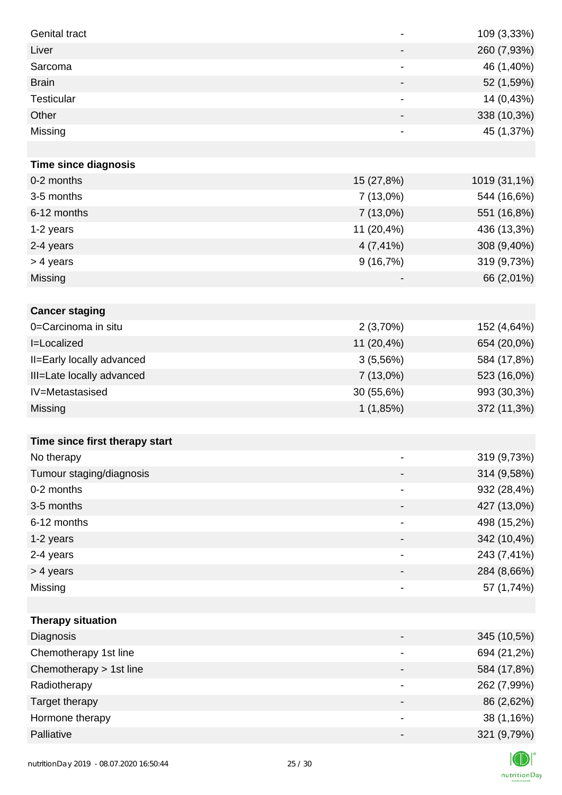| <b>Genital tract</b>           | $\overline{\phantom{a}}$ | 109 (3,33%)  |
|--------------------------------|--------------------------|--------------|
| Liver                          | $\overline{\phantom{a}}$ | 260 (7,93%)  |
| Sarcoma                        | -                        | 46 (1,40%)   |
| <b>Brain</b>                   | $\overline{\phantom{a}}$ | 52 (1,59%)   |
| Testicular                     | -                        | 14 (0,43%)   |
| Other                          | -                        | 338 (10,3%)  |
| Missing                        | -                        | 45 (1,37%)   |
|                                |                          |              |
| <b>Time since diagnosis</b>    |                          |              |
| 0-2 months                     | 15 (27,8%)               | 1019 (31,1%) |
| 3-5 months                     | 7 (13,0%)                | 544 (16,6%)  |
| 6-12 months                    | $7(13,0\%)$              | 551 (16,8%)  |
| 1-2 years                      | 11 (20,4%)               | 436 (13,3%)  |
| 2-4 years                      | $4(7, 41\%)$             | 308 (9,40%)  |
| > 4 years                      | 9(16,7%)                 | 319 (9,73%)  |
| Missing                        |                          | 66 (2,01%)   |
|                                |                          |              |
| <b>Cancer staging</b>          |                          |              |
| 0=Carcinoma in situ            | 2(3,70%)                 | 152 (4,64%)  |
| I=Localized                    | 11 (20,4%)               | 654 (20,0%)  |
| II=Early locally advanced      | 3(5,56%)                 | 584 (17,8%)  |
| III=Late locally advanced      | $7(13,0\%)$              | 523 (16,0%)  |
| IV=Metastasised                | 30 (55,6%)               | 993 (30,3%)  |
| <b>Missing</b>                 | 1(1,85%)                 | 372 (11,3%)  |
|                                |                          |              |
| Time since first therapy start |                          |              |
| No therapy                     |                          | 319 (9,73%)  |
| Tumour staging/diagnosis       | -                        | 314 (9,58%)  |
| 0-2 months                     |                          | 932 (28,4%)  |
| 3-5 months                     | -                        | 427 (13,0%)  |
| 6-12 months                    | -                        | 498 (15,2%)  |
| 1-2 years                      | -                        | 342 (10,4%)  |
| 2-4 years                      | $\overline{\phantom{a}}$ | 243 (7,41%)  |
| > 4 years                      | -                        | 284 (8,66%)  |
| Missing                        | -                        | 57 (1,74%)   |
|                                |                          |              |
| <b>Therapy situation</b>       |                          |              |
| Diagnosis                      | -                        | 345 (10,5%)  |
| Chemotherapy 1st line          |                          | 694 (21,2%)  |
| Chemotherapy > 1st line        | -                        | 584 (17,8%)  |
| Radiotherapy                   | $\overline{\phantom{a}}$ | 262 (7,99%)  |
| Target therapy                 | -                        | 86 (2,62%)   |
| Hormone therapy                | -                        | 38 (1,16%)   |
| Palliative                     |                          | 321 (9,79%)  |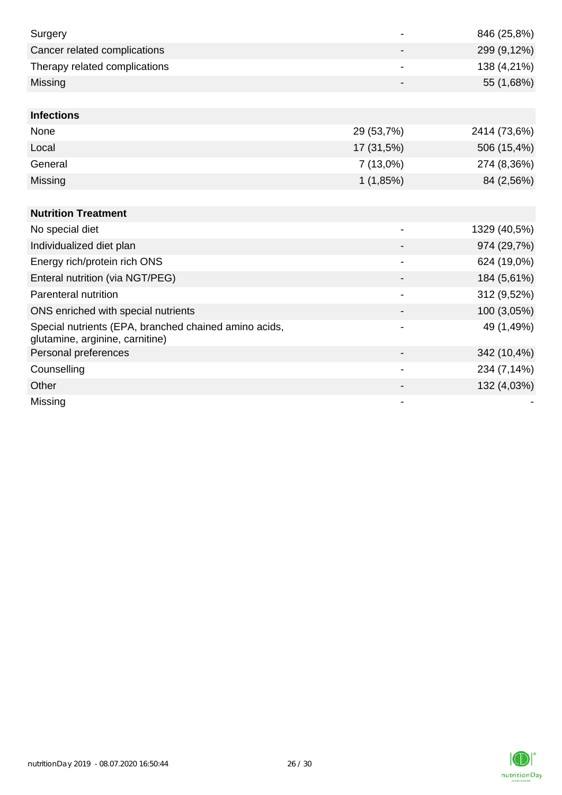| Surgery                                                                                  |                          | 846 (25,8%)  |
|------------------------------------------------------------------------------------------|--------------------------|--------------|
| Cancer related complications                                                             |                          | 299 (9,12%)  |
| Therapy related complications                                                            |                          | 138 (4,21%)  |
| Missing                                                                                  |                          | 55 (1,68%)   |
|                                                                                          |                          |              |
| <b>Infections</b>                                                                        |                          |              |
| None                                                                                     | 29 (53,7%)               | 2414 (73,6%) |
| Local                                                                                    | 17 (31,5%)               | 506 (15,4%)  |
| General                                                                                  | 7(13,0%)                 | 274 (8,36%)  |
| Missing                                                                                  | 1(1,85%)                 | 84 (2,56%)   |
|                                                                                          |                          |              |
| <b>Nutrition Treatment</b>                                                               |                          |              |
| No special diet                                                                          |                          | 1329 (40,5%) |
| Individualized diet plan                                                                 |                          | 974 (29,7%)  |
| Energy rich/protein rich ONS                                                             | $\blacksquare$           | 624 (19,0%)  |
| Enteral nutrition (via NGT/PEG)                                                          |                          | 184 (5,61%)  |
| Parenteral nutrition                                                                     |                          | 312 (9,52%)  |
| ONS enriched with special nutrients                                                      |                          | 100 (3,05%)  |
| Special nutrients (EPA, branched chained amino acids,<br>glutamine, arginine, carnitine) |                          | 49 (1,49%)   |
| Personal preferences                                                                     |                          | 342 (10,4%)  |
| Counselling                                                                              | $\overline{\phantom{a}}$ | 234 (7,14%)  |
| Other                                                                                    |                          | 132 (4,03%)  |
| Missing                                                                                  |                          |              |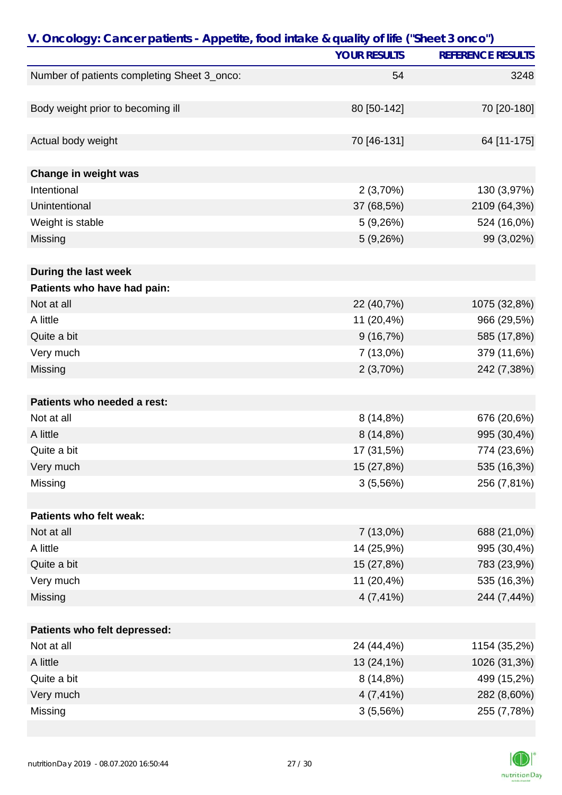| V. Oncology: Cancer patients - Appetite, food intake & quality of life ("Sheet 3 onco") |                     |                          |  |
|-----------------------------------------------------------------------------------------|---------------------|--------------------------|--|
|                                                                                         | <b>YOUR RESULTS</b> | <b>REFERENCE RESULTS</b> |  |
| Number of patients completing Sheet 3_onco:                                             | 54                  | 3248                     |  |
|                                                                                         |                     |                          |  |
| Body weight prior to becoming ill                                                       | 80 [50-142]         | 70 [20-180]              |  |
|                                                                                         |                     |                          |  |
| Actual body weight                                                                      | 70 [46-131]         | 64 [11-175]              |  |
|                                                                                         |                     |                          |  |
| Change in weight was                                                                    |                     |                          |  |
| Intentional                                                                             | 2(3,70%)            | 130 (3,97%)              |  |
| Unintentional                                                                           | 37 (68,5%)          | 2109 (64,3%)             |  |
| Weight is stable                                                                        | 5(9,26%)            | 524 (16,0%)              |  |
| Missing                                                                                 | 5(9,26%)            | 99 (3,02%)               |  |
|                                                                                         |                     |                          |  |
| During the last week                                                                    |                     |                          |  |
| Patients who have had pain:                                                             |                     |                          |  |
| Not at all                                                                              | 22 (40,7%)          | 1075 (32,8%)             |  |
| A little                                                                                | 11 (20,4%)          | 966 (29,5%)              |  |
| Quite a bit                                                                             | 9(16,7%)            | 585 (17,8%)              |  |
| Very much                                                                               | 7 (13,0%)           | 379 (11,6%)              |  |
| Missing                                                                                 | 2(3,70%)            | 242 (7,38%)              |  |
|                                                                                         |                     |                          |  |
| Patients who needed a rest:                                                             |                     |                          |  |
| Not at all                                                                              | 8(14,8%)            | 676 (20,6%)              |  |
| A little                                                                                | 8(14,8%)            | 995 (30,4%)              |  |
| Quite a bit                                                                             | 17 (31,5%)          | 774 (23,6%)              |  |
| Very much                                                                               | 15 (27,8%)          | 535 (16,3%)              |  |
| Missing                                                                                 | 3(5,56%)            | 256 (7,81%)              |  |
|                                                                                         |                     |                          |  |
| Patients who felt weak:                                                                 |                     |                          |  |
| Not at all                                                                              | $7(13,0\%)$         | 688 (21,0%)              |  |
| A little                                                                                | 14 (25,9%)          | 995 (30,4%)              |  |
| Quite a bit                                                                             | 15 (27,8%)          | 783 (23,9%)              |  |
| Very much                                                                               | 11 (20,4%)          | 535 (16,3%)              |  |
| Missing                                                                                 | $4(7, 41\%)$        | 244 (7,44%)              |  |
|                                                                                         |                     |                          |  |
| Patients who felt depressed:                                                            |                     |                          |  |
| Not at all                                                                              | 24 (44,4%)          | 1154 (35,2%)             |  |
| A little                                                                                | 13 (24,1%)          | 1026 (31,3%)             |  |
| Quite a bit                                                                             | 8(14,8%)            | 499 (15,2%)              |  |
| Very much                                                                               | $4(7, 41\%)$        | 282 (8,60%)              |  |
| Missing                                                                                 | 3(5,56%)            | 255 (7,78%)              |  |

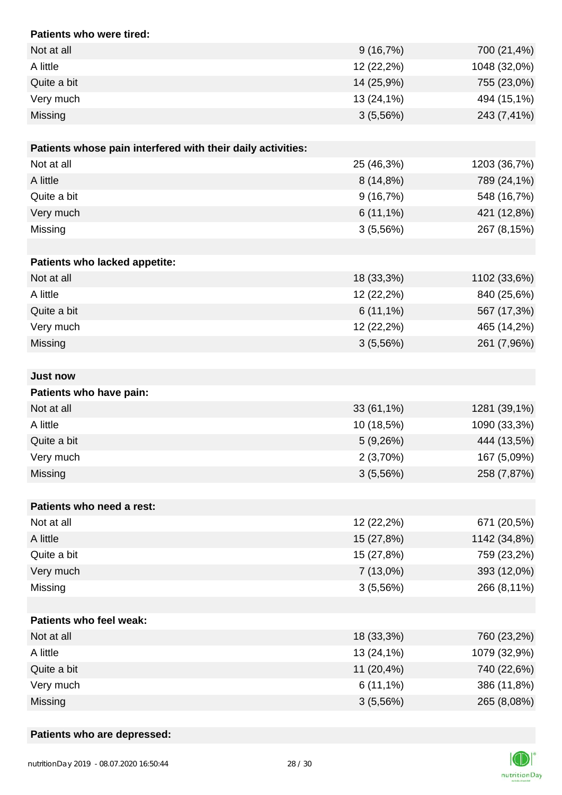| Patients who were tired:                                    |             |              |
|-------------------------------------------------------------|-------------|--------------|
| Not at all                                                  | 9(16,7%)    | 700 (21,4%)  |
| A little                                                    | 12 (22,2%)  | 1048 (32,0%) |
| Quite a bit                                                 | 14 (25,9%)  | 755 (23,0%)  |
| Very much                                                   | 13 (24,1%)  | 494 (15,1%)  |
| Missing                                                     | 3(5,56%)    | 243 (7,41%)  |
| Patients whose pain interfered with their daily activities: |             |              |
| Not at all                                                  | 25 (46,3%)  | 1203 (36,7%) |
| A little                                                    | 8 (14,8%)   | 789 (24,1%)  |
| Quite a bit                                                 | 9(16,7%)    | 548 (16,7%)  |
| Very much                                                   | $6(11,1\%)$ | 421 (12,8%)  |
| Missing                                                     | 3(5,56%)    | 267 (8,15%)  |
|                                                             |             |              |
| Patients who lacked appetite:                               |             |              |
| Not at all                                                  | 18 (33,3%)  | 1102 (33,6%) |
| A little                                                    | 12 (22,2%)  | 840 (25,6%)  |
| Quite a bit                                                 | $6(11,1\%)$ | 567 (17,3%)  |
| Very much                                                   | 12 (22,2%)  | 465 (14,2%)  |
| Missing                                                     | 3(5,56%)    | 261 (7,96%)  |
|                                                             |             |              |
| <b>Just now</b>                                             |             |              |
| Patients who have pain:                                     |             |              |
| Not at all                                                  | 33 (61,1%)  | 1281 (39,1%) |
| A little                                                    | 10 (18,5%)  | 1090 (33,3%) |
| Quite a bit                                                 | 5(9,26%)    | 444 (13,5%)  |
| Very much                                                   | 2(3,70%)    | 167 (5,09%)  |
| Missing                                                     | 3(5,56%)    | 258 (7,87%)  |
| Patients who need a rest:                                   |             |              |
| Not at all                                                  | 12 (22,2%)  | 671 (20,5%)  |
| A little                                                    | 15 (27,8%)  | 1142 (34,8%) |
| Quite a bit                                                 | 15 (27,8%)  | 759 (23,2%)  |
| Very much                                                   | 7(13,0%)    | 393 (12,0%)  |
| Missing                                                     | 3(5,56%)    | 266 (8,11%)  |
|                                                             |             |              |
| <b>Patients who feel weak:</b>                              |             |              |
| Not at all                                                  | 18 (33,3%)  | 760 (23,2%)  |
| A little                                                    | 13 (24,1%)  | 1079 (32,9%) |
| Quite a bit                                                 | 11 (20,4%)  | 740 (22,6%)  |
| Very much                                                   | $6(11,1\%)$ | 386 (11,8%)  |
| Missing                                                     | 3(5,56%)    | 265 (8,08%)  |

#### **Patients who are depressed:**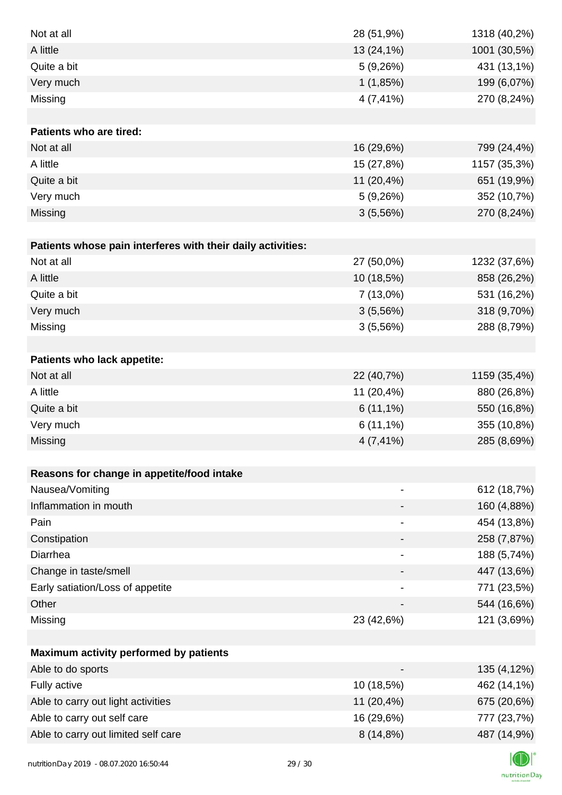| Not at all                                                  | 28 (51,9%)   | 1318 (40,2%) |
|-------------------------------------------------------------|--------------|--------------|
| A little                                                    | 13 (24,1%)   | 1001 (30,5%) |
| Quite a bit                                                 | 5(9,26%)     | 431 (13,1%)  |
| Very much                                                   | 1(1,85%)     | 199 (6,07%)  |
| Missing                                                     | 4 (7,41%)    | 270 (8,24%)  |
|                                                             |              |              |
| Patients who are tired:                                     |              |              |
| Not at all                                                  | 16 (29,6%)   | 799 (24,4%)  |
| A little                                                    | 15 (27,8%)   | 1157 (35,3%) |
| Quite a bit                                                 | 11 (20,4%)   | 651 (19,9%)  |
| Very much                                                   | 5(9,26%)     | 352 (10,7%)  |
| Missing                                                     | 3(5,56%)     | 270 (8,24%)  |
|                                                             |              |              |
| Patients whose pain interferes with their daily activities: |              |              |
| Not at all                                                  | 27 (50,0%)   | 1232 (37,6%) |
| A little                                                    | 10 (18,5%)   | 858 (26,2%)  |
| Quite a bit                                                 | 7 (13,0%)    | 531 (16,2%)  |
| Very much                                                   | 3(5,56%)     | 318 (9,70%)  |
| Missing                                                     | 3(5,56%)     | 288 (8,79%)  |
|                                                             |              |              |
| Patients who lack appetite:                                 |              |              |
| Not at all                                                  | 22 (40,7%)   | 1159 (35,4%) |
| A little                                                    | 11 (20,4%)   | 880 (26,8%)  |
| Quite a bit                                                 | $6(11,1\%)$  | 550 (16,8%)  |
| Very much                                                   | $6(11,1\%)$  | 355 (10,8%)  |
| Missing                                                     | $4(7, 41\%)$ | 285 (8,69%)  |
|                                                             |              |              |
| Reasons for change in appetite/food intake                  |              |              |
| Nausea/Vomiting                                             |              | 612 (18,7%)  |
| Inflammation in mouth                                       |              | 160 (4,88%)  |
| Pain                                                        |              | 454 (13,8%)  |
| Constipation                                                |              | 258 (7,87%)  |
| Diarrhea                                                    | -            | 188 (5,74%)  |
| Change in taste/smell                                       |              | 447 (13,6%)  |
| Early satiation/Loss of appetite                            |              | 771 (23,5%)  |
| Other                                                       |              | 544 (16,6%)  |
| Missing                                                     | 23 (42,6%)   | 121 (3,69%)  |
|                                                             |              |              |
| Maximum activity performed by patients                      |              |              |
| Able to do sports                                           | -            | 135 (4,12%)  |
| Fully active                                                | 10 (18,5%)   | 462 (14,1%)  |
| Able to carry out light activities                          | 11 (20,4%)   | 675 (20,6%)  |
| Able to carry out self care                                 | 16 (29,6%)   | 777 (23,7%)  |
| Able to carry out limited self care                         | 8 (14,8%)    | 487 (14,9%)  |
|                                                             |              |              |